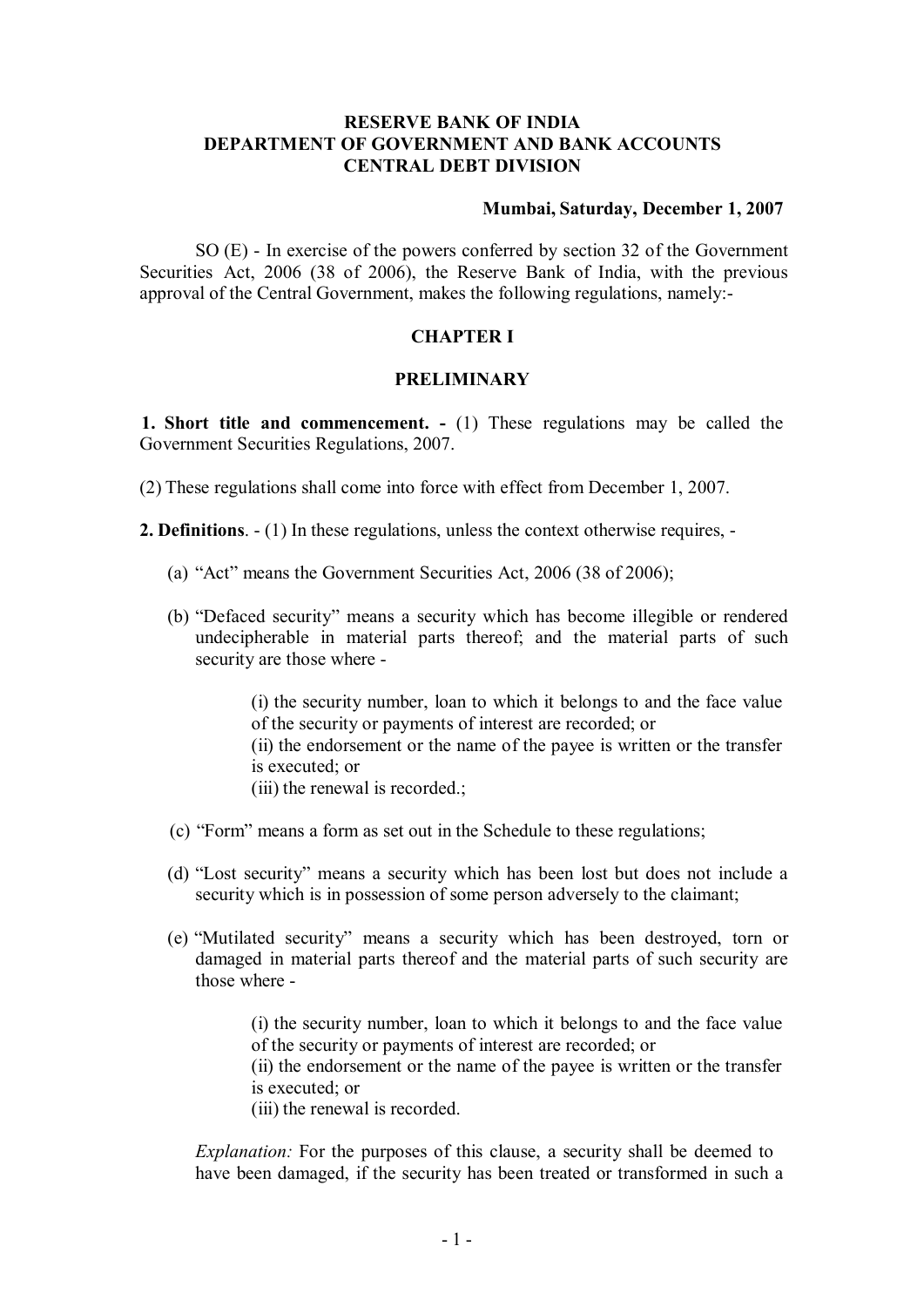### **RESERVE BANK OF INDIA DEPARTMENT OF GOVERNMENT AND BANK ACCOUNTS CENTRAL DEBT DIVISION**

#### **Mumbai, Saturday, December 1, 2007**

SO (E) - In exercise of the powers conferred by section 32 of the Government Securities Act, 2006 (38 of 2006), the Reserve Bank of India, with the previous approval of the Central Government, makes the following regulations, namely:-

### **CHAPTER I**

#### **PRELIMINARY**

**1. Short title and commencement. -** (1) These regulations may be called the Government Securities Regulations, 2007.

(2) These regulations shall come into force with effect from December 1, 2007.

**2. Definitions**. - (1) In these regulations, unless the context otherwise requires, -

- (a) "Act" means the Government Securities Act, 2006 (38 of 2006);
- (b) "Defaced security" means a security which has become illegible or rendered undecipherable in material parts thereof; and the material parts of such security are those where -

(i) the security number, loan to which it belongs to and the face value of the security or payments of interest are recorded; or (ii) the endorsement or the name of the payee is written or the transfer is executed; or (iii) the renewal is recorded.;

- (c) "Form" means a form as set out in the Schedule to these regulations;
- (d) "Lost security" means a security which has been lost but does not include a security which is in possession of some person adversely to the claimant;
- (e) "Mutilated security" means a security which has been destroyed, torn or damaged in material parts thereof and the material parts of such security are those where -

(i) the security number, loan to which it belongs to and the face value of the security or payments of interest are recorded; or

(ii) the endorsement or the name of the payee is written or the transfer is executed; or

(iii) the renewal is recorded.

*Explanation:* For the purposes of this clause, a security shall be deemed to have been damaged, if the security has been treated or transformed in such a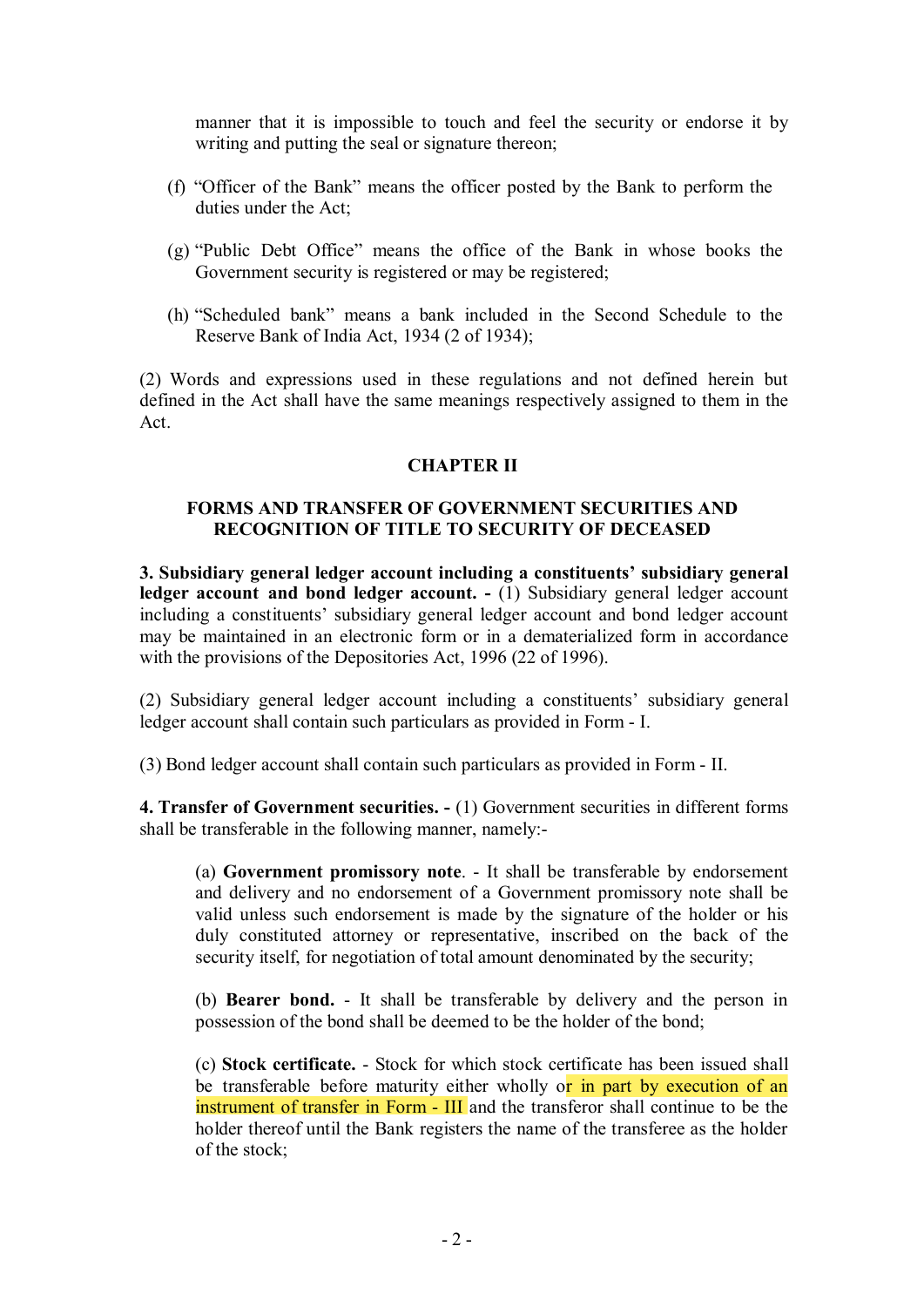manner that it is impossible to touch and feel the security or endorse it by writing and putting the seal or signature thereon;

- (f) "Officer of the Bank" means the officer posted by the Bank to perform the duties under the Act;
- (g) "Public Debt Office" means the office of the Bank in whose books the Government security is registered or may be registered;
- (h) "Scheduled bank" means a bank included in the Second Schedule to the Reserve Bank of India Act, 1934 (2 of 1934);

(2) Words and expressions used in these regulations and not defined herein but defined in the Act shall have the same meanings respectively assigned to them in the Act.

#### **CHAPTER II**

### **FORMS AND TRANSFER OF GOVERNMENT SECURITIES AND RECOGNITION OF TITLE TO SECURITY OF DECEASED**

**3. Subsidiary general ledger account including a constituents' subsidiary general ledger account and bond ledger account. -** (1) Subsidiary general ledger account including a constituents' subsidiary general ledger account and bond ledger account may be maintained in an electronic form or in a dematerialized form in accordance with the provisions of the Depositories Act, 1996 (22 of 1996).

(2) Subsidiary general ledger account including a constituents' subsidiary general ledger account shall contain such particulars as provided in Form - I.

(3) Bond ledger account shall contain such particulars as provided in Form - II.

**4. Transfer of Government securities. -** (1) Government securities in different forms shall be transferable in the following manner, namely:-

(a) **Government promissory note**. - It shall be transferable by endorsement and delivery and no endorsement of a Government promissory note shall be valid unless such endorsement is made by the signature of the holder or his duly constituted attorney or representative, inscribed on the back of the security itself, for negotiation of total amount denominated by the security;

(b) **Bearer bond.** - It shall be transferable by delivery and the person in possession of the bond shall be deemed to be the holder of the bond;

(c) **Stock certificate.** - Stock for which stock certificate has been issued shall be transferable before maturity either wholly or in part by execution of an instrument of transfer in Form - III and the transferor shall continue to be the holder thereof until the Bank registers the name of the transferee as the holder of the stock;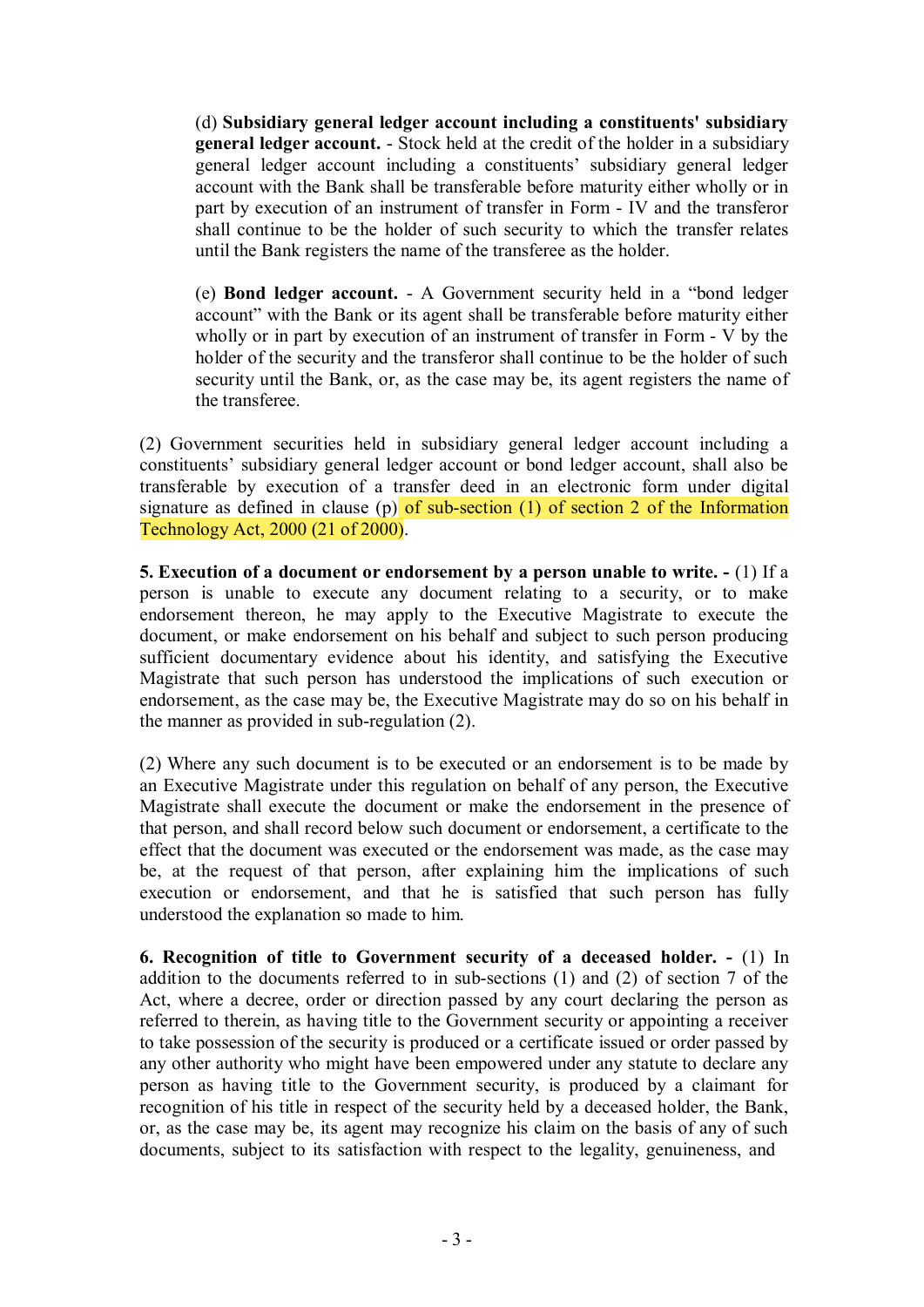(d) **Subsidiary general ledger account including a constituents' subsidiary general ledger account.** - Stock held at the credit of the holder in a subsidiary general ledger account including a constituents' subsidiary general ledger account with the Bank shall be transferable before maturity either wholly or in part by execution of an instrument of transfer in Form - IV and the transferor shall continue to be the holder of such security to which the transfer relates until the Bank registers the name of the transferee as the holder.

(e) **Bond ledger account.** - A Government security held in a "bond ledger account" with the Bank or its agent shall be transferable before maturity either wholly or in part by execution of an instrument of transfer in Form - V by the holder of the security and the transferor shall continue to be the holder of such security until the Bank, or, as the case may be, its agent registers the name of the transferee.

(2) Government securities held in subsidiary general ledger account including a constituents' subsidiary general ledger account or bond ledger account, shall also be transferable by execution of a transfer deed in an electronic form under digital signature as defined in clause (p) of sub-section (1) of section 2 of the Information Technology Act, 2000 (21 of 2000).

**5. Execution of a document or endorsement by a person unable to write. -** (1) If a person is unable to execute any document relating to a security, or to make endorsement thereon, he may apply to the Executive Magistrate to execute the document, or make endorsement on his behalf and subject to such person producing sufficient documentary evidence about his identity, and satisfying the Executive Magistrate that such person has understood the implications of such execution or endorsement, as the case may be, the Executive Magistrate may do so on his behalf in the manner as provided in sub-regulation (2).

(2) Where any such document is to be executed or an endorsement is to be made by an Executive Magistrate under this regulation on behalf of any person, the Executive Magistrate shall execute the document or make the endorsement in the presence of that person, and shall record below such document or endorsement, a certificate to the effect that the document was executed or the endorsement was made, as the case may be, at the request of that person, after explaining him the implications of such execution or endorsement, and that he is satisfied that such person has fully understood the explanation so made to him.

**6. Recognition of title to Government security of a deceased holder. -** (1) In addition to the documents referred to in sub-sections (1) and (2) of section 7 of the Act, where a decree, order or direction passed by any court declaring the person as referred to therein, as having title to the Government security or appointing a receiver to take possession of the security is produced or a certificate issued or order passed by any other authority who might have been empowered under any statute to declare any person as having title to the Government security, is produced by a claimant for recognition of his title in respect of the security held by a deceased holder, the Bank, or, as the case may be, its agent may recognize his claim on the basis of any of such documents, subject to its satisfaction with respect to the legality, genuineness, and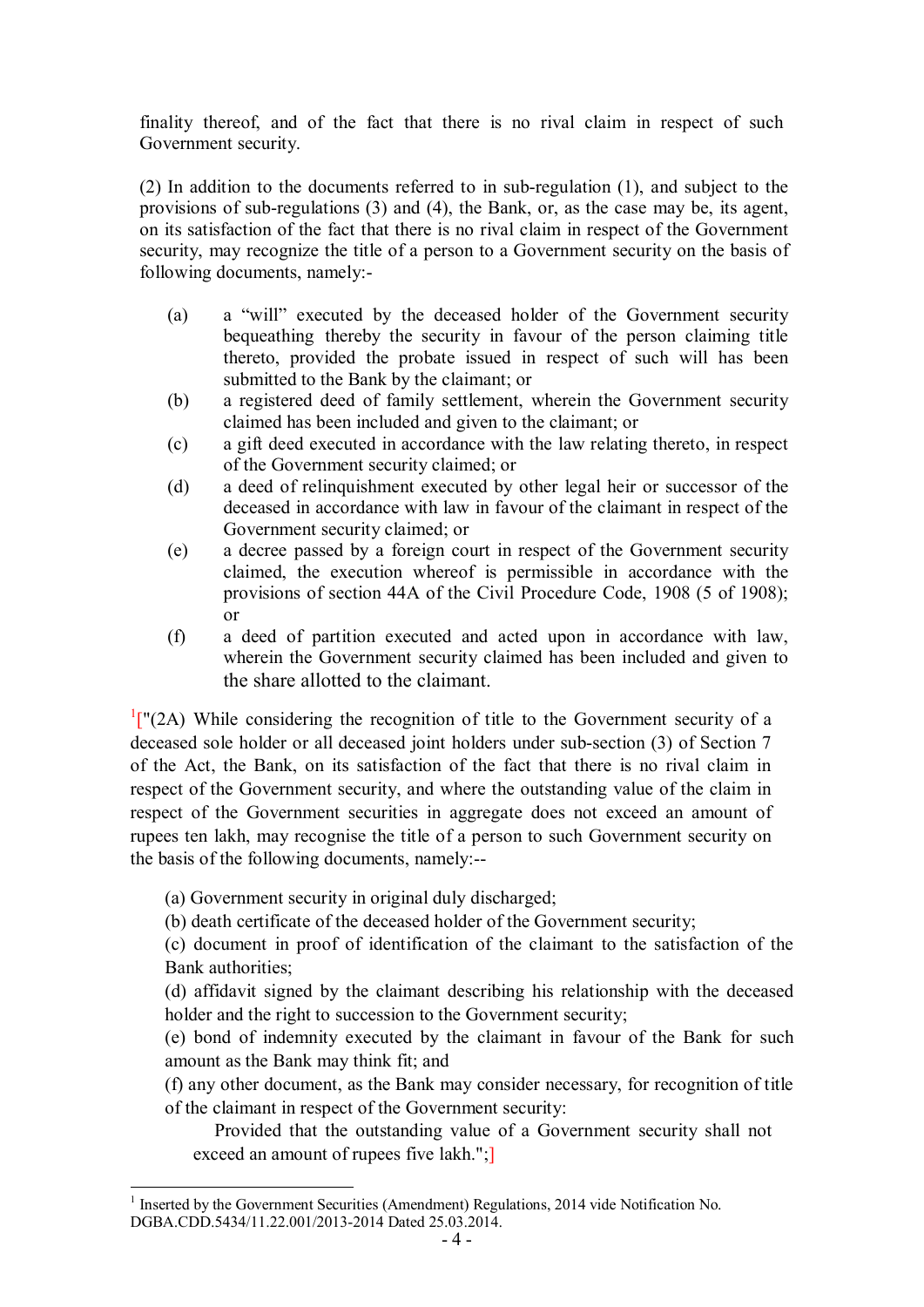finality thereof, and of the fact that there is no rival claim in respect of such Government security.

(2) In addition to the documents referred to in sub-regulation (1), and subject to the provisions of sub-regulations (3) and (4), the Bank, or, as the case may be, its agent, on its satisfaction of the fact that there is no rival claim in respect of the Government security, may recognize the title of a person to a Government security on the basis of following documents, namely:-

- (a) a "will" executed by the deceased holder of the Government security bequeathing thereby the security in favour of the person claiming title thereto, provided the probate issued in respect of such will has been submitted to the Bank by the claimant; or
- (b) a registered deed of family settlement, wherein the Government security claimed has been included and given to the claimant; or
- (c) a gift deed executed in accordance with the law relating thereto, in respect of the Government security claimed; or
- (d) a deed of relinquishment executed by other legal heir or successor of the deceased in accordance with law in favour of the claimant in respect of the Government security claimed; or
- (e) a decree passed by a foreign court in respect of the Government security claimed, the execution whereof is permissible in accordance with the provisions of section 44A of the Civil Procedure Code, 1908 (5 of 1908); or
- (f) a deed of partition executed and acted upon in accordance with law, wherein the Government security claimed has been included and given to the share allotted to the claimant.

 $\frac{1}{2}$ [\["](#page-3-0)(2A) While considering the recognition of title to the Government security of a deceased sole holder or all deceased joint holders under sub-section (3) of Section 7 of the Act, the Bank, on its satisfaction of the fact that there is no rival claim in respect of the Government security, and where the outstanding value of the claim in respect of the Government securities in aggregate does not exceed an amount of rupees ten lakh, may recognise the title of a person to such Government security on the basis of the following documents, namely:--

(a) Government security in original duly discharged;

(b) death certificate of the deceased holder of the Government security;

(c) document in proof of identification of the claimant to the satisfaction of the Bank authorities;

(d) affidavit signed by the claimant describing his relationship with the deceased holder and the right to succession to the Government security;

(e) bond of indemnity executed by the claimant in favour of the Bank for such amount as the Bank may think fit; and

(f) any other document, as the Bank may consider necessary, for recognition of title of the claimant in respect of the Government security:

Provided that the outstanding value of a Government security shall not exceed an amount of rupees five lakh.";

<span id="page-3-0"></span><sup>1</sup> Inserted by the Government Securities (Amendment) Regulations, 2014 vide Notification No. DGBA.CDD.5434/11.22.001/2013-2014 Dated 25.03.2014.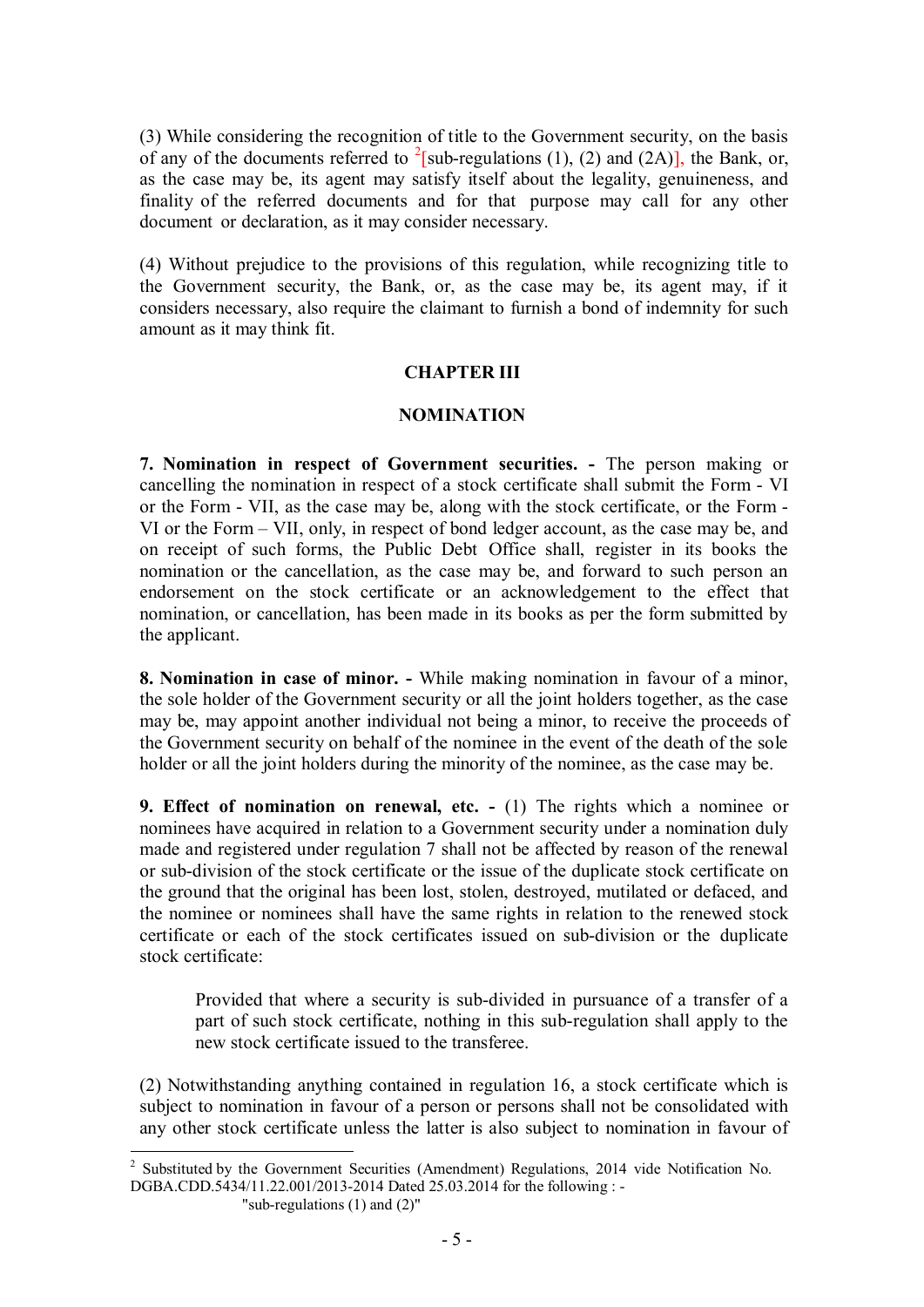(3) While considering the recognition of title to the Government security, on the basis of any of the documents referred to <sup>2</sup>[\[s](#page-4-0)ub-regulations (1), (2) and (2A)], the Bank, or, as the case may be, its agent may satisfy itself about the legality, genuineness, and finality of the referred documents and for that purpose may call for any other document or declaration, as it may consider necessary.

(4) Without prejudice to the provisions of this regulation, while recognizing title to the Government security, the Bank, or, as the case may be, its agent may, if it considers necessary, also require the claimant to furnish a bond of indemnity for such amount as it may think fit.

#### **CHAPTER III**

#### **NOMINATION**

**7. Nomination in respect of Government securities. -** The person making or cancelling the nomination in respect of a stock certificate shall submit the Form - VI or the Form - VII, as the case may be, along with the stock certificate, or the Form - VI or the Form – VII, only, in respect of bond ledger account, as the case may be, and on receipt of such forms, the Public Debt Office shall, register in its books the nomination or the cancellation, as the case may be, and forward to such person an endorsement on the stock certificate or an acknowledgement to the effect that nomination, or cancellation, has been made in its books as per the form submitted by the applicant.

**8. Nomination in case of minor. -** While making nomination in favour of a minor, the sole holder of the Government security or all the joint holders together, as the case may be, may appoint another individual not being a minor, to receive the proceeds of the Government security on behalf of the nominee in the event of the death of the sole holder or all the joint holders during the minority of the nominee, as the case may be.

**9. Effect of nomination on renewal, etc. -** (1) The rights which a nominee or nominees have acquired in relation to a Government security under a nomination duly made and registered under regulation 7 shall not be affected by reason of the renewal or sub-division of the stock certificate or the issue of the duplicate stock certificate on the ground that the original has been lost, stolen, destroyed, mutilated or defaced, and the nominee or nominees shall have the same rights in relation to the renewed stock certificate or each of the stock certificates issued on sub-division or the duplicate stock certificate:

Provided that where a security is sub-divided in pursuance of a transfer of a part of such stock certificate, nothing in this sub-regulation shall apply to the new stock certificate issued to the transferee.

(2) Notwithstanding anything contained in regulation 16, a stock certificate which is subject to nomination in favour of a person or persons shall not be consolidated with any other stock certificate unless the latter is also subject to nomination in favour of

"sub-regulations (1) and (2)"

<span id="page-4-0"></span><sup>2</sup> Substituted by the Government Securities (Amendment) Regulations, 2014 vide Notification No. DGBA.CDD.5434/11.22.001/2013-2014 Dated 25.03.2014 for the following : -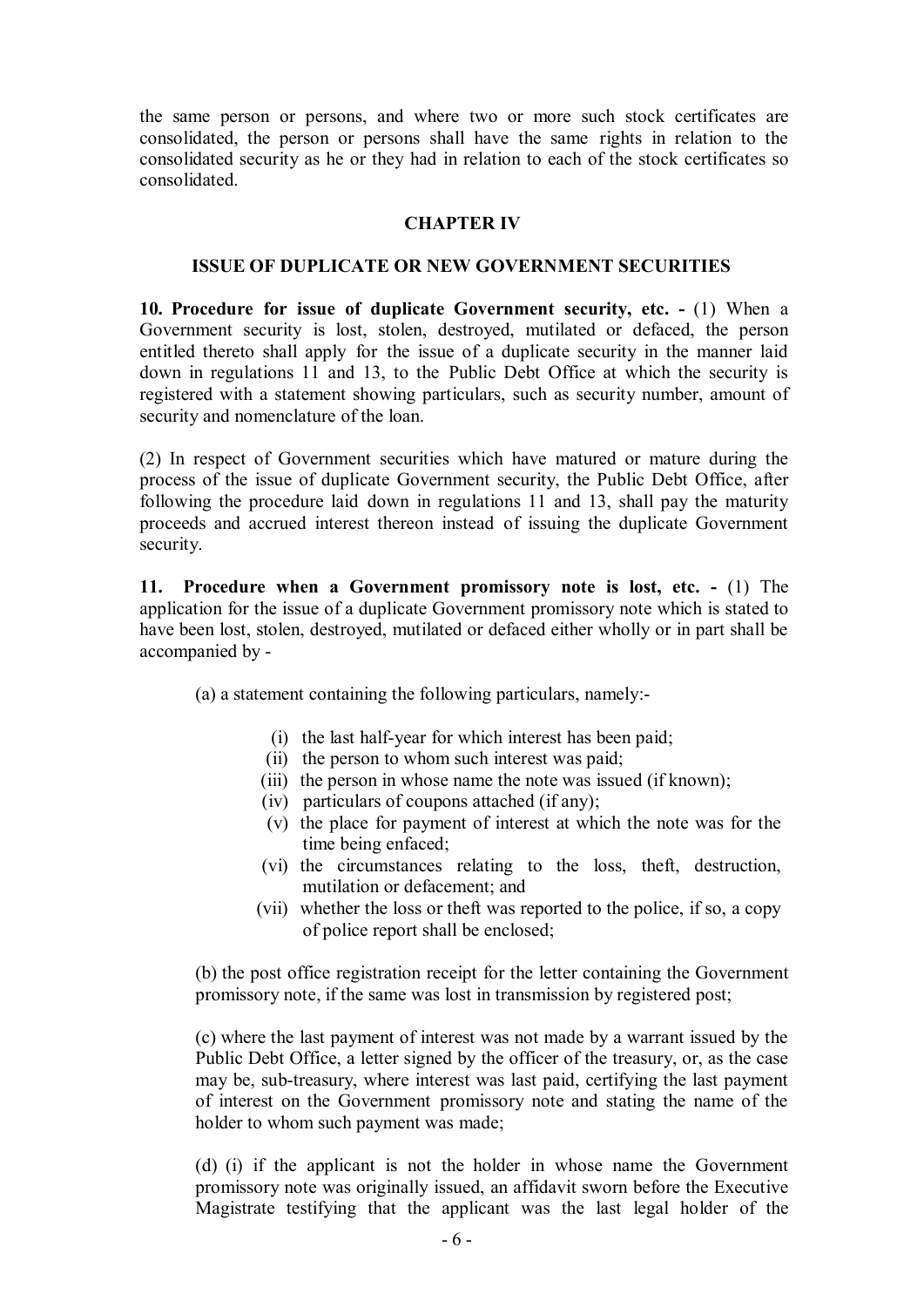the same person or persons, and where two or more such stock certificates are consolidated, the person or persons shall have the same rights in relation to the consolidated security as he or they had in relation to each of the stock certificates so consolidated.

## **CHAPTER IV**

#### **ISSUE OF DUPLICATE OR NEW GOVERNMENT SECURITIES**

**10. Procedure for issue of duplicate Government security, etc. -** (1) When a Government security is lost, stolen, destroyed, mutilated or defaced, the person entitled thereto shall apply for the issue of a duplicate security in the manner laid down in regulations 11 and 13, to the Public Debt Office at which the security is registered with a statement showing particulars, such as security number, amount of security and nomenclature of the loan.

(2) In respect of Government securities which have matured or mature during the process of the issue of duplicate Government security, the Public Debt Office, after following the procedure laid down in regulations 11 and 13, shall pay the maturity proceeds and accrued interest thereon instead of issuing the duplicate Government security.

**11. Procedure when a Government promissory note is lost, etc. -** (1) The application for the issue of a duplicate Government promissory note which is stated to have been lost, stolen, destroyed, mutilated or defaced either wholly or in part shall be accompanied by -

(a) a statement containing the following particulars, namely:-

- (i) the last half-year for which interest has been paid;
- (ii) the person to whom such interest was paid;
- (iii) the person in whose name the note was issued (if known);
- (iv) particulars of coupons attached (if any);
- (v) the place for payment of interest at which the note was for the time being enfaced;
- (vi) the circumstances relating to the loss, theft, destruction, mutilation or defacement; and
- (vii) whether the loss or theft was reported to the police, if so, a copy of police report shall be enclosed;

(b) the post office registration receipt for the letter containing the Government promissory note, if the same was lost in transmission by registered post;

(c) where the last payment of interest was not made by a warrant issued by the Public Debt Office, a letter signed by the officer of the treasury, or, as the case may be, sub-treasury, where interest was last paid, certifying the last payment of interest on the Government promissory note and stating the name of the holder to whom such payment was made;

(d) (i) if the applicant is not the holder in whose name the Government promissory note was originally issued, an affidavit sworn before the Executive Magistrate testifying that the applicant was the last legal holder of the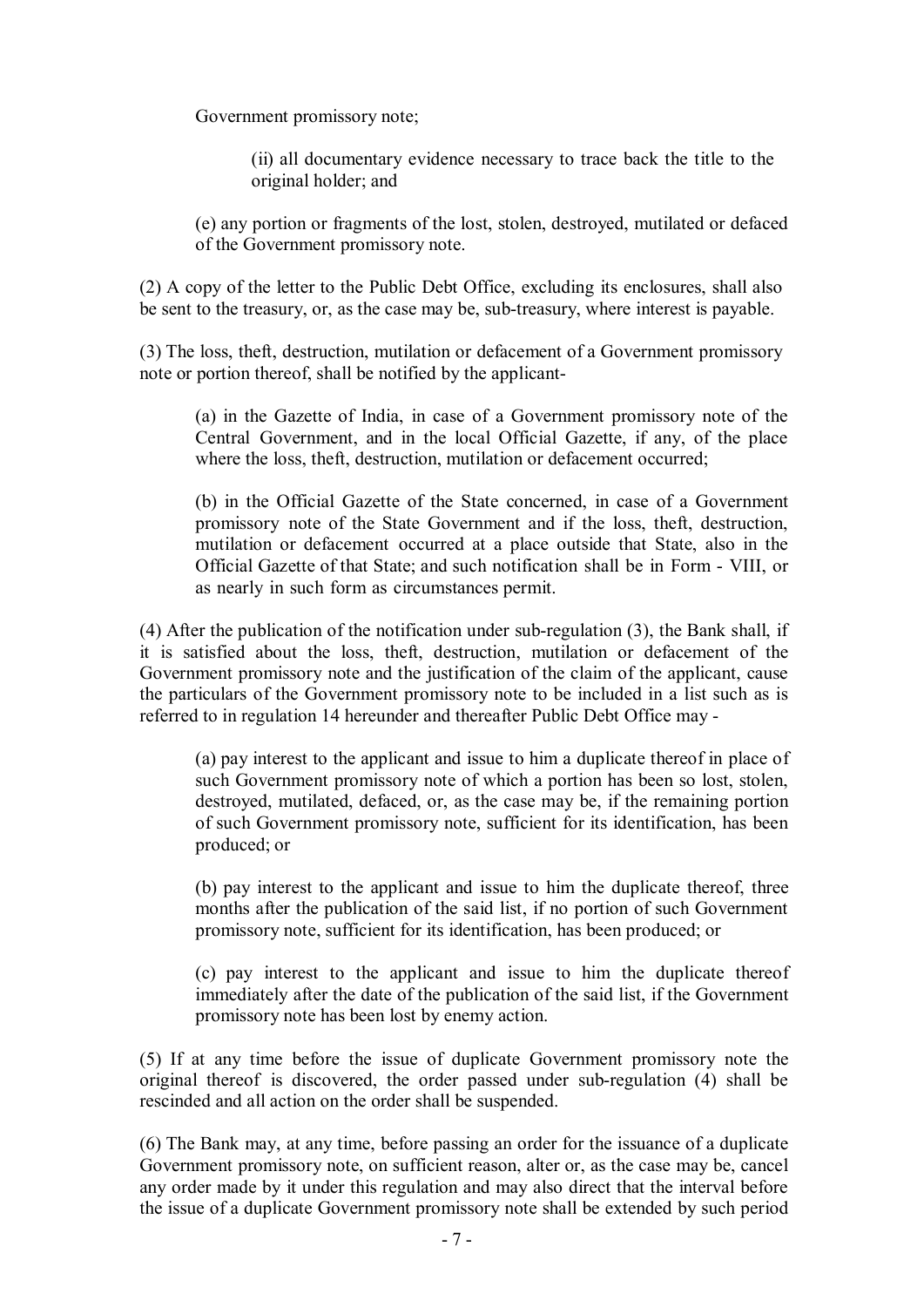Government promissory note;

(ii) all documentary evidence necessary to trace back the title to the original holder; and

(e) any portion or fragments of the lost, stolen, destroyed, mutilated or defaced of the Government promissory note.

(2) A copy of the letter to the Public Debt Office, excluding its enclosures, shall also be sent to the treasury, or, as the case may be, sub-treasury, where interest is payable.

(3) The loss, theft, destruction, mutilation or defacement of a Government promissory note or portion thereof, shall be notified by the applicant-

(a) in the Gazette of India, in case of a Government promissory note of the Central Government, and in the local Official Gazette, if any, of the place where the loss, theft, destruction, mutilation or defacement occurred;

(b) in the Official Gazette of the State concerned, in case of a Government promissory note of the State Government and if the loss, theft, destruction, mutilation or defacement occurred at a place outside that State, also in the Official Gazette of that State; and such notification shall be in Form - VIII, or as nearly in such form as circumstances permit.

(4) After the publication of the notification under sub-regulation (3), the Bank shall, if it is satisfied about the loss, theft, destruction, mutilation or defacement of the Government promissory note and the justification of the claim of the applicant, cause the particulars of the Government promissory note to be included in a list such as is referred to in regulation 14 hereunder and thereafter Public Debt Office may -

(a) pay interest to the applicant and issue to him a duplicate thereof in place of such Government promissory note of which a portion has been so lost, stolen, destroyed, mutilated, defaced, or, as the case may be, if the remaining portion of such Government promissory note, sufficient for its identification, has been produced; or

(b) pay interest to the applicant and issue to him the duplicate thereof, three months after the publication of the said list, if no portion of such Government promissory note, sufficient for its identification, has been produced; or

(c) pay interest to the applicant and issue to him the duplicate thereof immediately after the date of the publication of the said list, if the Government promissory note has been lost by enemy action.

(5) If at any time before the issue of duplicate Government promissory note the original thereof is discovered, the order passed under sub-regulation (4) shall be rescinded and all action on the order shall be suspended.

(6) The Bank may, at any time, before passing an order for the issuance of a duplicate Government promissory note, on sufficient reason, alter or, as the case may be, cancel any order made by it under this regulation and may also direct that the interval before the issue of a duplicate Government promissory note shall be extended by such period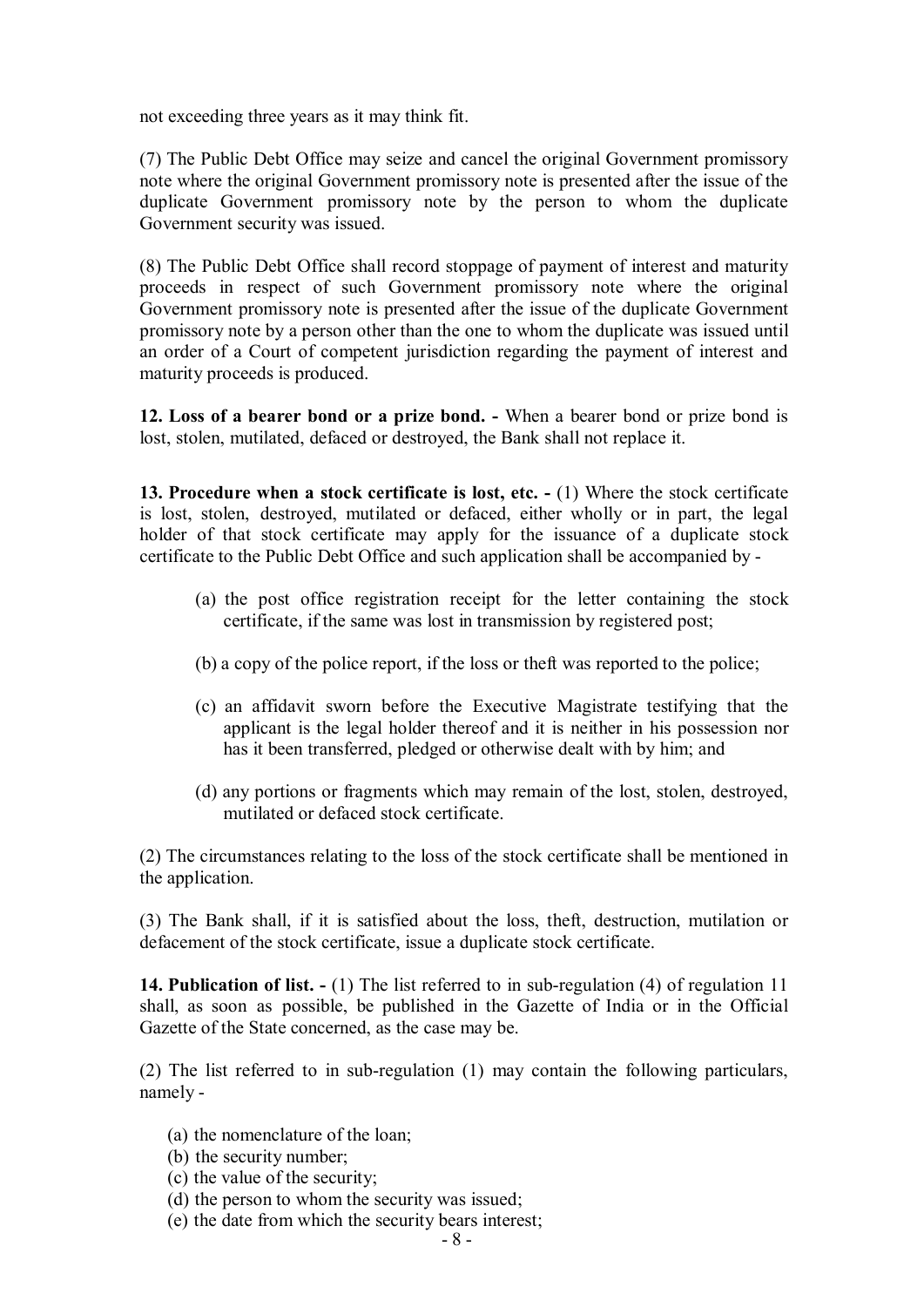not exceeding three years as it may think fit.

(7) The Public Debt Office may seize and cancel the original Government promissory note where the original Government promissory note is presented after the issue of the duplicate Government promissory note by the person to whom the duplicate Government security was issued.

(8) The Public Debt Office shall record stoppage of payment of interest and maturity proceeds in respect of such Government promissory note where the original Government promissory note is presented after the issue of the duplicate Government promissory note by a person other than the one to whom the duplicate was issued until an order of a Court of competent jurisdiction regarding the payment of interest and maturity proceeds is produced.

**12. Loss of a bearer bond or a prize bond. -** When a bearer bond or prize bond is lost, stolen, mutilated, defaced or destroyed, the Bank shall not replace it.

**13. Procedure when a stock certificate is lost, etc. -** (1) Where the stock certificate is lost, stolen, destroyed, mutilated or defaced, either wholly or in part, the legal holder of that stock certificate may apply for the issuance of a duplicate stock certificate to the Public Debt Office and such application shall be accompanied by -

- (a) the post office registration receipt for the letter containing the stock certificate, if the same was lost in transmission by registered post;
- (b) a copy of the police report, if the loss or theft was reported to the police;
- (c) an affidavit sworn before the Executive Magistrate testifying that the applicant is the legal holder thereof and it is neither in his possession nor has it been transferred, pledged or otherwise dealt with by him; and
- (d) any portions or fragments which may remain of the lost, stolen, destroyed, mutilated or defaced stock certificate.

(2) The circumstances relating to the loss of the stock certificate shall be mentioned in the application.

(3) The Bank shall, if it is satisfied about the loss, theft, destruction, mutilation or defacement of the stock certificate, issue a duplicate stock certificate.

**14. Publication of list. -** (1) The list referred to in sub-regulation (4) of regulation 11 shall, as soon as possible, be published in the Gazette of India or in the Official Gazette of the State concerned, as the case may be.

(2) The list referred to in sub-regulation (1) may contain the following particulars, namely -

- (a) the nomenclature of the loan;
- (b) the security number;
- (c) the value of the security;
- (d) the person to whom the security was issued;
- (e) the date from which the security bears interest;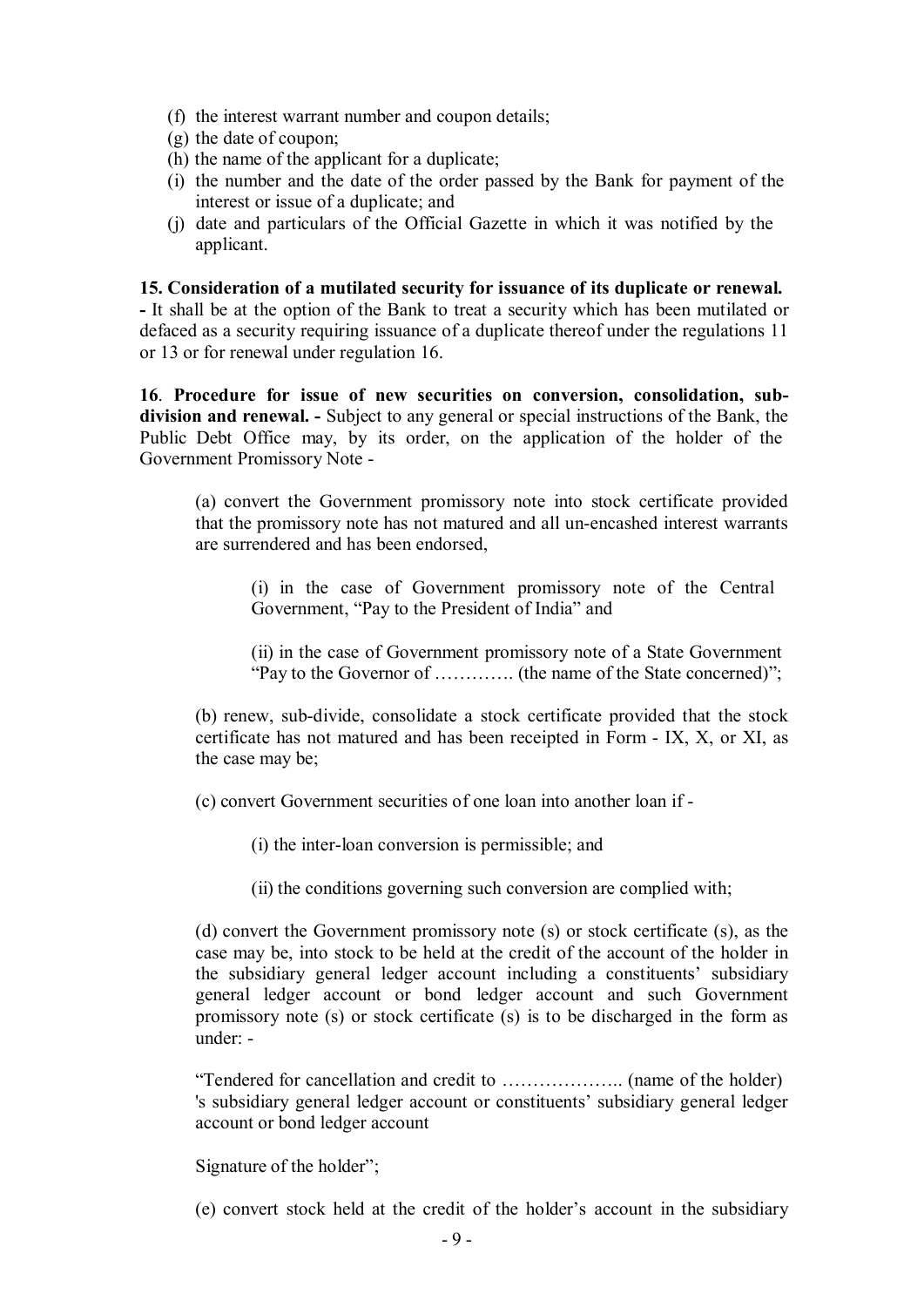- (f) the interest warrant number and coupon details;
- (g) the date of coupon;
- (h) the name of the applicant for a duplicate;
- (i) the number and the date of the order passed by the Bank for payment of the interest or issue of a duplicate; and
- (j) date and particulars of the Official Gazette in which it was notified by the applicant.

### **15. Consideration of a mutilated security for issuance of its duplicate or renewal.**

**-** It shall be at the option of the Bank to treat a security which has been mutilated or defaced as a security requiring issuance of a duplicate thereof under the regulations 11 or 13 or for renewal under regulation 16.

**16**. **Procedure for issue of new securities on conversion, consolidation, subdivision and renewal. -** Subject to any general or special instructions of the Bank, the Public Debt Office may, by its order, on the application of the holder of the Government Promissory Note -

(a) convert the Government promissory note into stock certificate provided that the promissory note has not matured and all un-encashed interest warrants are surrendered and has been endorsed,

(i) in the case of Government promissory note of the Central Government, "Pay to the President of India" and

(ii) in the case of Government promissory note of a State Government "Pay to the Governor of …………. (the name of the State concerned)";

(b) renew, sub-divide, consolidate a stock certificate provided that the stock certificate has not matured and has been receipted in Form - IX, X, or XI, as the case may be;

(c) convert Government securities of one loan into another loan if -

(i) the inter-loan conversion is permissible; and

(ii) the conditions governing such conversion are complied with;

(d) convert the Government promissory note (s) or stock certificate (s), as the case may be, into stock to be held at the credit of the account of the holder in the subsidiary general ledger account including a constituents' subsidiary general ledger account or bond ledger account and such Government promissory note (s) or stock certificate (s) is to be discharged in the form as under: -

"Tendered for cancellation and credit to ……………….. (name of the holder) 's subsidiary general ledger account or constituents' subsidiary general ledger account or bond ledger account

Signature of the holder";

(e) convert stock held at the credit of the holder's account in the subsidiary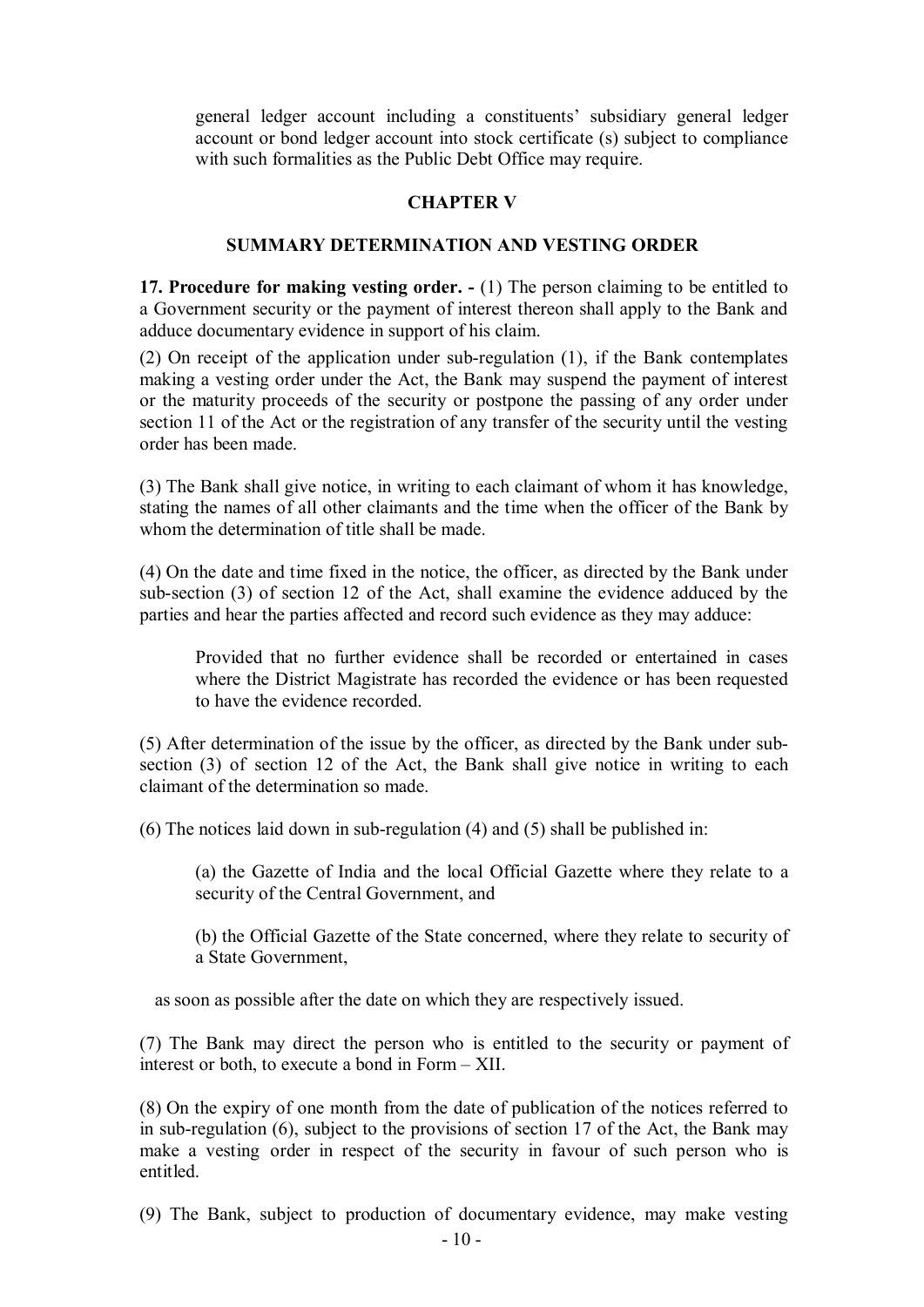general ledger account including a constituents' subsidiary general ledger account or bond ledger account into stock certificate (s) subject to compliance with such formalities as the Public Debt Office may require.

### **CHAPTER V**

### **SUMMARY DETERMINATION AND VESTING ORDER**

**17. Procedure for making vesting order. -** (1) The person claiming to be entitled to a Government security or the payment of interest thereon shall apply to the Bank and adduce documentary evidence in support of his claim.

(2) On receipt of the application under sub-regulation (1), if the Bank contemplates making a vesting order under the Act, the Bank may suspend the payment of interest or the maturity proceeds of the security or postpone the passing of any order under section 11 of the Act or the registration of any transfer of the security until the vesting order has been made.

(3) The Bank shall give notice, in writing to each claimant of whom it has knowledge, stating the names of all other claimants and the time when the officer of the Bank by whom the determination of title shall be made.

(4) On the date and time fixed in the notice, the officer, as directed by the Bank under sub-section (3) of section 12 of the Act, shall examine the evidence adduced by the parties and hear the parties affected and record such evidence as they may adduce:

Provided that no further evidence shall be recorded or entertained in cases where the District Magistrate has recorded the evidence or has been requested to have the evidence recorded.

(5) After determination of the issue by the officer, as directed by the Bank under subsection (3) of section 12 of the Act, the Bank shall give notice in writing to each claimant of the determination so made.

(6) The notices laid down in sub-regulation (4) and (5) shall be published in:

(a) the Gazette of India and the local Official Gazette where they relate to a security of the Central Government, and

(b) the Official Gazette of the State concerned, where they relate to security of a State Government,

as soon as possible after the date on which they are respectively issued.

(7) The Bank may direct the person who is entitled to the security or payment of interest or both, to execute a bond in Form – XII.

(8) On the expiry of one month from the date of publication of the notices referred to in sub-regulation (6), subject to the provisions of section 17 of the Act, the Bank may make a vesting order in respect of the security in favour of such person who is entitled.

(9) The Bank, subject to production of documentary evidence, may make vesting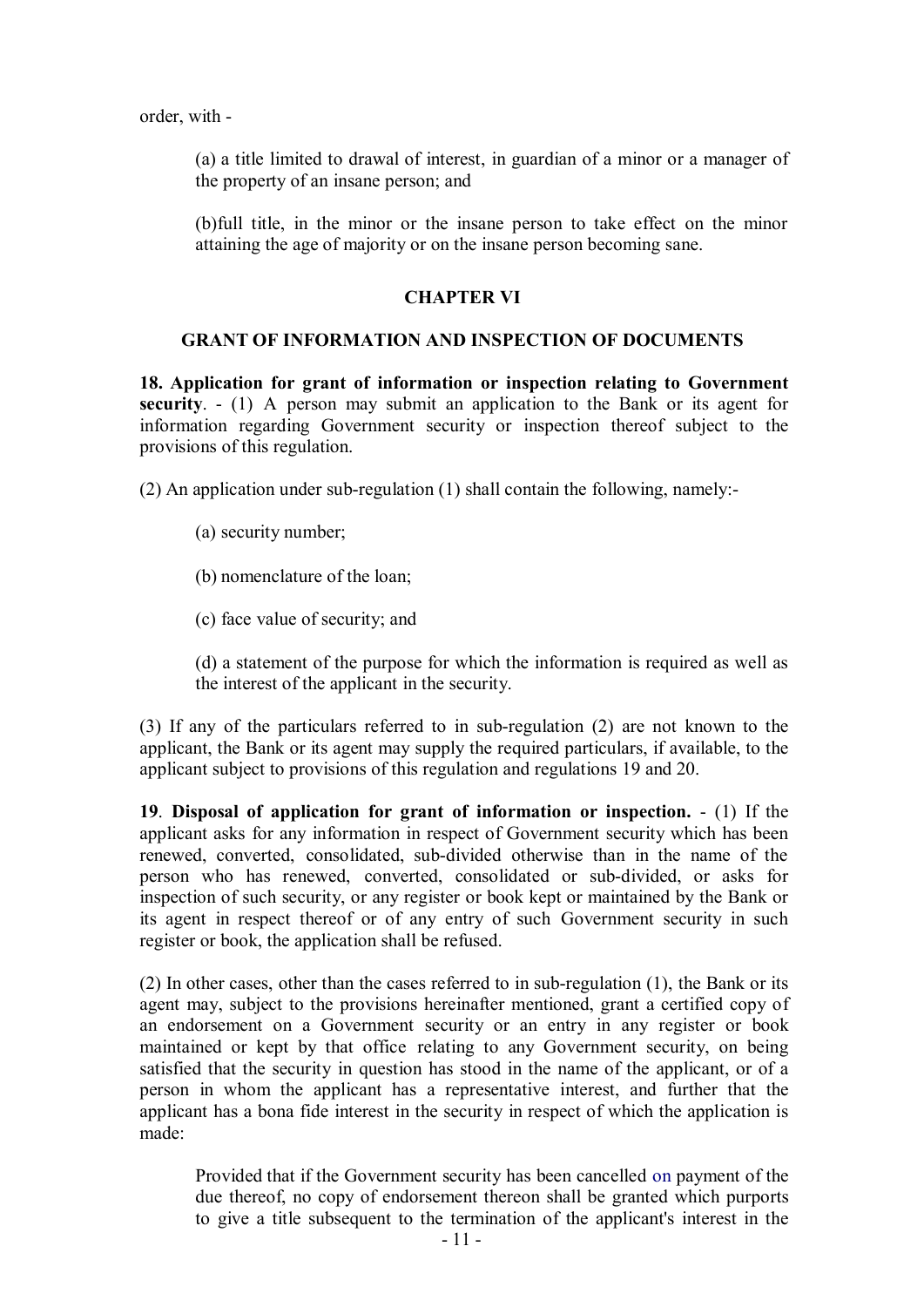order, with -

(a) a title limited to drawal of interest, in guardian of a minor or a manager of the property of an insane person; and

(b)full title, in the minor or the insane person to take effect on the minor attaining the age of majority or on the insane person becoming sane.

#### **CHAPTER VI**

#### **GRANT OF INFORMATION AND INSPECTION OF DOCUMENTS**

**18. Application for grant of information or inspection relating to Government security**. - (1) A person may submit an application to the Bank or its agent for information regarding Government security or inspection thereof subject to the provisions of this regulation.

(2) An application under sub-regulation (1) shall contain the following, namely:-

- (a) security number;
- (b) nomenclature of the loan;
- (c) face value of security; and

(d) a statement of the purpose for which the information is required as well as the interest of the applicant in the security.

(3) If any of the particulars referred to in sub-regulation (2) are not known to the applicant, the Bank or its agent may supply the required particulars, if available, to the applicant subject to provisions of this regulation and regulations 19 and 20.

**19**. **Disposal of application for grant of information or inspection.** - (1) If the applicant asks for any information in respect of Government security which has been renewed, converted, consolidated, sub-divided otherwise than in the name of the person who has renewed, converted, consolidated or sub-divided, or asks for inspection of such security, or any register or book kept or maintained by the Bank or its agent in respect thereof or of any entry of such Government security in such register or book, the application shall be refused.

(2) In other cases, other than the cases referred to in sub-regulation (1), the Bank or its agent may, subject to the provisions hereinafter mentioned, grant a certified copy of an endorsement on a Government security or an entry in any register or book maintained or kept by that office relating to any Government security, on being satisfied that the security in question has stood in the name of the applicant, or of a person in whom the applicant has a representative interest, and further that the applicant has a bona fide interest in the security in respect of which the application is made:

Provided that if the Government security has been cancelled on payment of the due thereof, no copy of endorsement thereon shall be granted which purports to give a title subsequent to the termination of the applicant's interest in the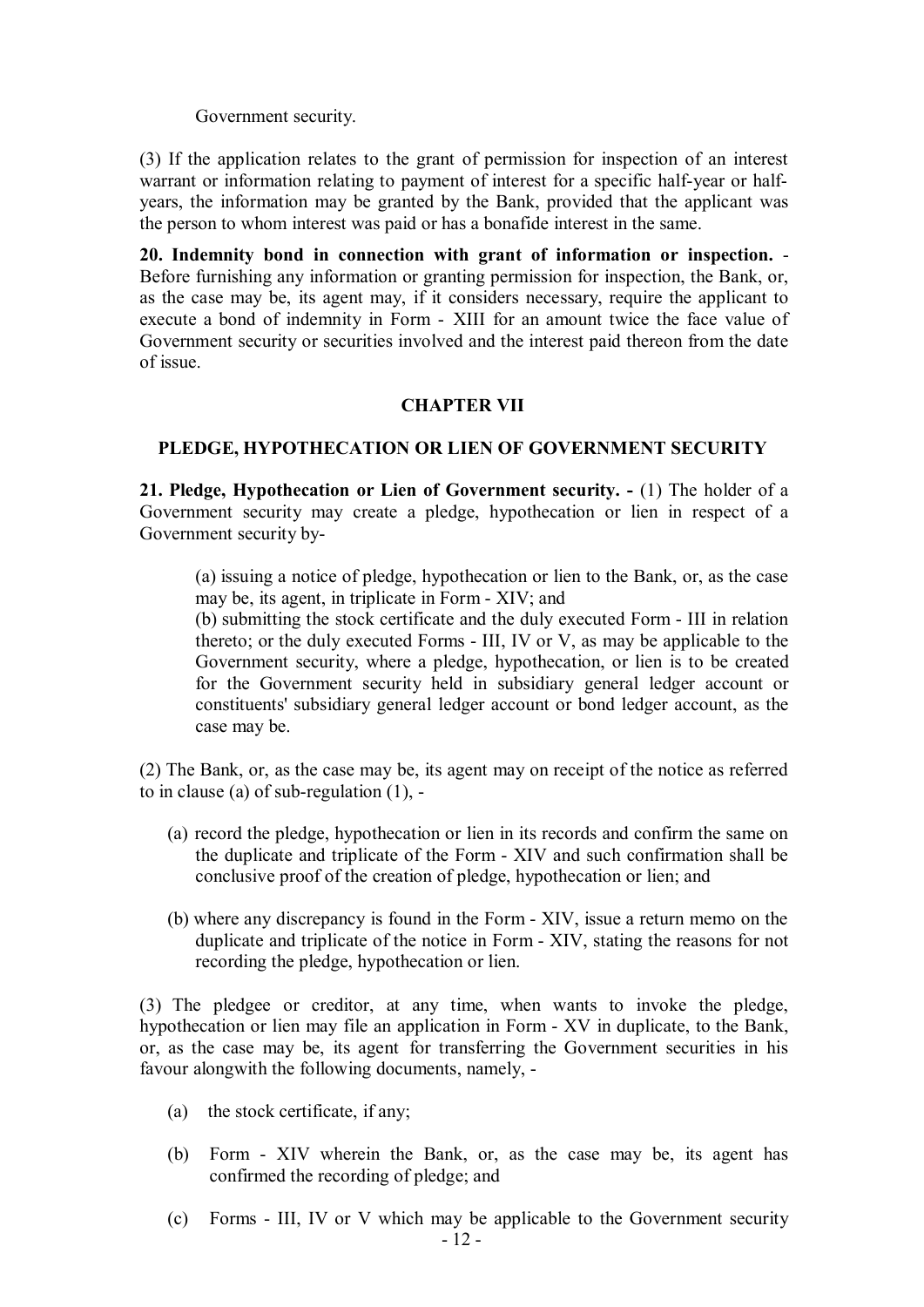Government security.

(3) If the application relates to the grant of permission for inspection of an interest warrant or information relating to payment of interest for a specific half-year or halfyears, the information may be granted by the Bank, provided that the applicant was the person to whom interest was paid or has a bonafide interest in the same.

**20. Indemnity bond in connection with grant of information or inspection.** - Before furnishing any information or granting permission for inspection, the Bank, or, as the case may be, its agent may, if it considers necessary, require the applicant to execute a bond of indemnity in Form - XIII for an amount twice the face value of Government security or securities involved and the interest paid thereon from the date of issue.

### **CHAPTER VII**

### **PLEDGE, HYPOTHECATION OR LIEN OF GOVERNMENT SECURITY**

**21. Pledge, Hypothecation or Lien of Government security. -** (1) The holder of a Government security may create a pledge, hypothecation or lien in respect of a Government security by-

(a) issuing a notice of pledge, hypothecation or lien to the Bank, or, as the case may be, its agent, in triplicate in Form - XIV; and

(b) submitting the stock certificate and the duly executed Form - III in relation thereto; or the duly executed Forms - III, IV or V, as may be applicable to the Government security, where a pledge, hypothecation, or lien is to be created for the Government security held in subsidiary general ledger account or constituents' subsidiary general ledger account or bond ledger account, as the case may be.

(2) The Bank, or, as the case may be, its agent may on receipt of the notice as referred to in clause (a) of sub-regulation (1), -

- (a) record the pledge, hypothecation or lien in its records and confirm the same on the duplicate and triplicate of the Form - XIV and such confirmation shall be conclusive proof of the creation of pledge, hypothecation or lien; and
- (b) where any discrepancy is found in the Form XIV, issue a return memo on the duplicate and triplicate of the notice in Form - XIV, stating the reasons for not recording the pledge, hypothecation or lien.

(3) The pledgee or creditor, at any time, when wants to invoke the pledge, hypothecation or lien may file an application in Form - XV in duplicate, to the Bank, or, as the case may be, its agent for transferring the Government securities in his favour alongwith the following documents, namely, -

- (a) the stock certificate, if any;
- (b) Form XIV wherein the Bank, or, as the case may be, its agent has confirmed the recording of pledge; and
- 12 (c) Forms - III, IV or V which may be applicable to the Government security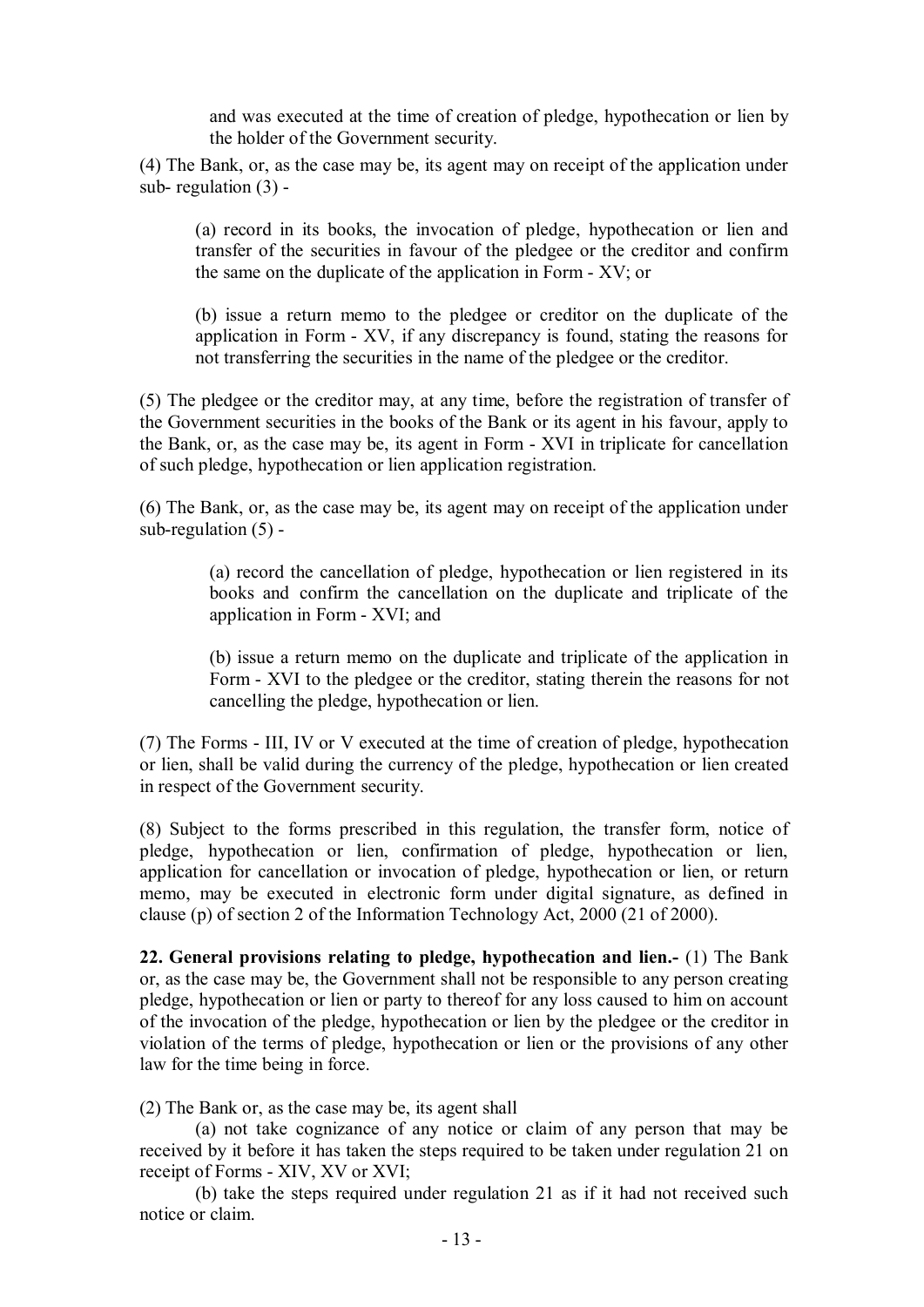and was executed at the time of creation of pledge, hypothecation or lien by the holder of the Government security.

(4) The Bank, or, as the case may be, its agent may on receipt of the application under sub- regulation (3) -

(a) record in its books, the invocation of pledge, hypothecation or lien and transfer of the securities in favour of the pledgee or the creditor and confirm the same on the duplicate of the application in Form - XV; or

(b) issue a return memo to the pledgee or creditor on the duplicate of the application in Form - XV, if any discrepancy is found, stating the reasons for not transferring the securities in the name of the pledgee or the creditor.

(5) The pledgee or the creditor may, at any time, before the registration of transfer of the Government securities in the books of the Bank or its agent in his favour, apply to the Bank, or, as the case may be, its agent in Form - XVI in triplicate for cancellation of such pledge, hypothecation or lien application registration.

(6) The Bank, or, as the case may be, its agent may on receipt of the application under sub-regulation  $(5)$  -

> (a) record the cancellation of pledge, hypothecation or lien registered in its books and confirm the cancellation on the duplicate and triplicate of the application in Form - XVI; and

> (b) issue a return memo on the duplicate and triplicate of the application in Form - XVI to the pledgee or the creditor, stating therein the reasons for not cancelling the pledge, hypothecation or lien.

(7) The Forms - III, IV or V executed at the time of creation of pledge, hypothecation or lien, shall be valid during the currency of the pledge, hypothecation or lien created in respect of the Government security.

(8) Subject to the forms prescribed in this regulation, the transfer form, notice of pledge, hypothecation or lien, confirmation of pledge, hypothecation or lien, application for cancellation or invocation of pledge, hypothecation or lien, or return memo, may be executed in electronic form under digital signature, as defined in clause (p) of section 2 of the Information Technology Act, 2000 (21 of 2000).

**22. General provisions relating to pledge, hypothecation and lien.-** (1) The Bank or, as the case may be, the Government shall not be responsible to any person creating pledge, hypothecation or lien or party to thereof for any loss caused to him on account of the invocation of the pledge, hypothecation or lien by the pledgee or the creditor in violation of the terms of pledge, hypothecation or lien or the provisions of any other law for the time being in force.

(2) The Bank or, as the case may be, its agent shall

(a) not take cognizance of any notice or claim of any person that may be received by it before it has taken the steps required to be taken under regulation 21 on receipt of Forms - XIV, XV or XVI;

(b) take the steps required under regulation 21 as if it had not received such notice or claim.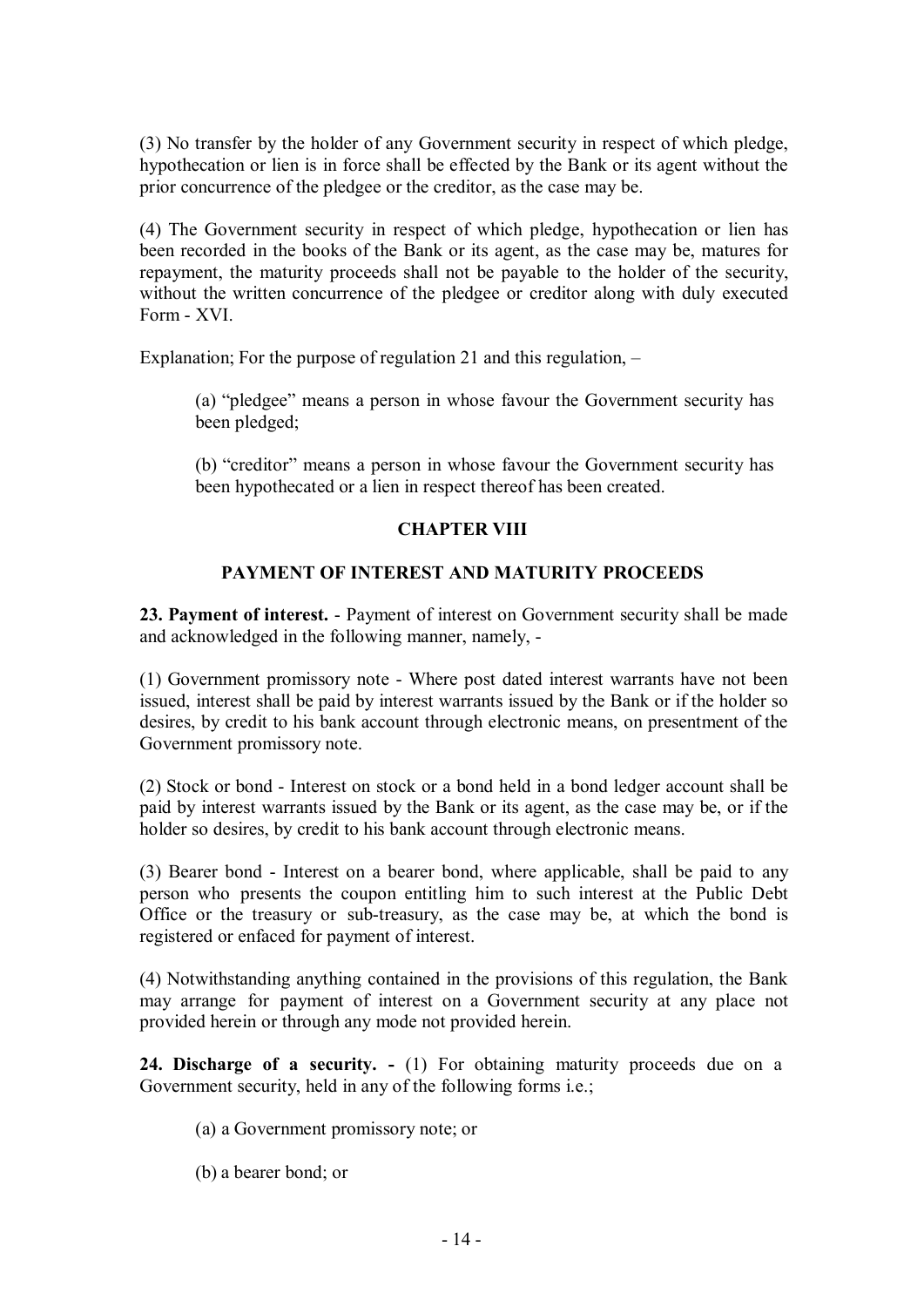(3) No transfer by the holder of any Government security in respect of which pledge, hypothecation or lien is in force shall be effected by the Bank or its agent without the prior concurrence of the pledgee or the creditor, as the case may be.

(4) The Government security in respect of which pledge, hypothecation or lien has been recorded in the books of the Bank or its agent, as the case may be, matures for repayment, the maturity proceeds shall not be payable to the holder of the security, without the written concurrence of the pledgee or creditor along with duly executed Form - XVI.

Explanation; For the purpose of regulation 21 and this regulation, –

(a) "pledgee" means a person in whose favour the Government security has been pledged;

(b) "creditor" means a person in whose favour the Government security has been hypothecated or a lien in respect thereof has been created.

## **CHAPTER VIII**

## **PAYMENT OF INTEREST AND MATURITY PROCEEDS**

**23. Payment of interest.** - Payment of interest on Government security shall be made and acknowledged in the following manner, namely, -

(1) Government promissory note - Where post dated interest warrants have not been issued, interest shall be paid by interest warrants issued by the Bank or if the holder so desires, by credit to his bank account through electronic means, on presentment of the Government promissory note.

(2) Stock or bond - Interest on stock or a bond held in a bond ledger account shall be paid by interest warrants issued by the Bank or its agent, as the case may be, or if the holder so desires, by credit to his bank account through electronic means.

(3) Bearer bond - Interest on a bearer bond, where applicable, shall be paid to any person who presents the coupon entitling him to such interest at the Public Debt Office or the treasury or sub-treasury, as the case may be, at which the bond is registered or enfaced for payment of interest.

(4) Notwithstanding anything contained in the provisions of this regulation, the Bank may arrange for payment of interest on a Government security at any place not provided herein or through any mode not provided herein.

**24. Discharge of a security. -** (1) For obtaining maturity proceeds due on a Government security, held in any of the following forms i.e.;

- (a) a Government promissory note; or
- (b) a bearer bond; or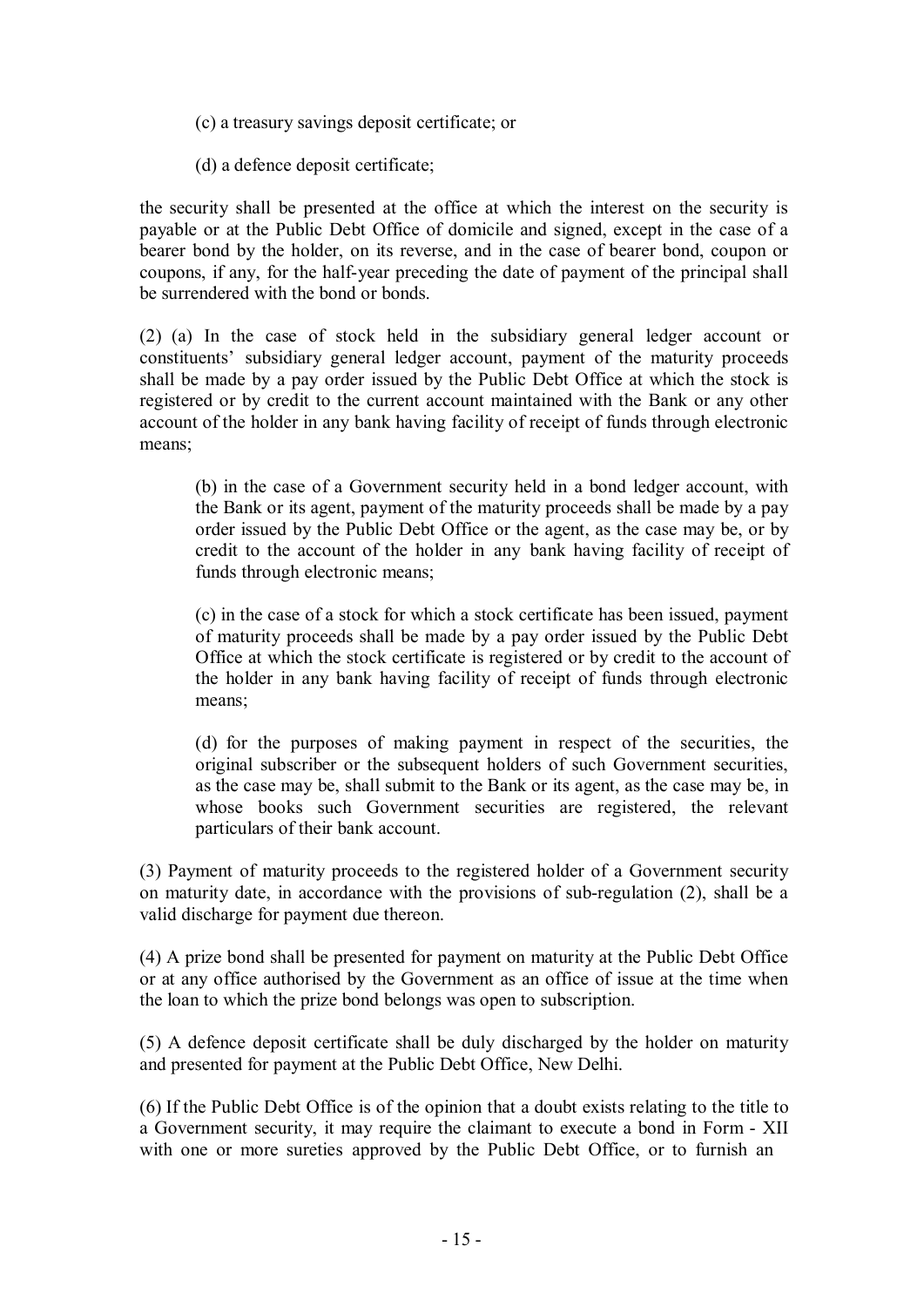- (c) a treasury savings deposit certificate; or
- (d) a defence deposit certificate;

the security shall be presented at the office at which the interest on the security is payable or at the Public Debt Office of domicile and signed, except in the case of a bearer bond by the holder, on its reverse, and in the case of bearer bond, coupon or coupons, if any, for the half-year preceding the date of payment of the principal shall be surrendered with the bond or bonds.

(2) (a) In the case of stock held in the subsidiary general ledger account or constituents' subsidiary general ledger account, payment of the maturity proceeds shall be made by a pay order issued by the Public Debt Office at which the stock is registered or by credit to the current account maintained with the Bank or any other account of the holder in any bank having facility of receipt of funds through electronic means;

(b) in the case of a Government security held in a bond ledger account, with the Bank or its agent, payment of the maturity proceeds shall be made by a pay order issued by the Public Debt Office or the agent, as the case may be, or by credit to the account of the holder in any bank having facility of receipt of funds through electronic means;

(c) in the case of a stock for which a stock certificate has been issued, payment of maturity proceeds shall be made by a pay order issued by the Public Debt Office at which the stock certificate is registered or by credit to the account of the holder in any bank having facility of receipt of funds through electronic means;

(d) for the purposes of making payment in respect of the securities, the original subscriber or the subsequent holders of such Government securities, as the case may be, shall submit to the Bank or its agent, as the case may be, in whose books such Government securities are registered, the relevant particulars of their bank account.

(3) Payment of maturity proceeds to the registered holder of a Government security on maturity date, in accordance with the provisions of sub-regulation (2), shall be a valid discharge for payment due thereon.

(4) A prize bond shall be presented for payment on maturity at the Public Debt Office or at any office authorised by the Government as an office of issue at the time when the loan to which the prize bond belongs was open to subscription.

(5) A defence deposit certificate shall be duly discharged by the holder on maturity and presented for payment at the Public Debt Office, New Delhi.

(6) If the Public Debt Office is of the opinion that a doubt exists relating to the title to a Government security, it may require the claimant to execute a bond in Form - XII with one or more sureties approved by the Public Debt Office, or to furnish an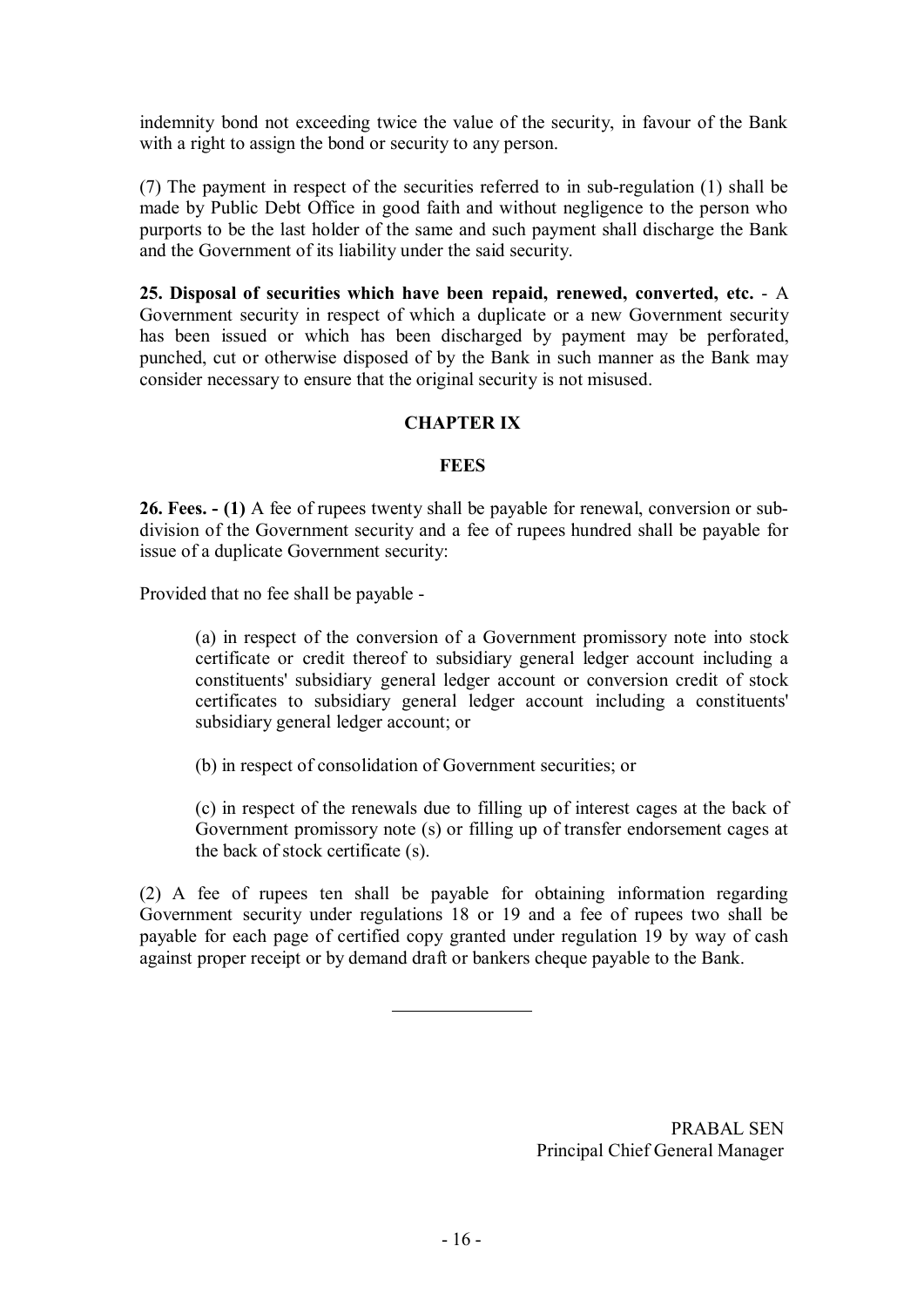indemnity bond not exceeding twice the value of the security, in favour of the Bank with a right to assign the bond or security to any person.

(7) The payment in respect of the securities referred to in sub-regulation (1) shall be made by Public Debt Office in good faith and without negligence to the person who purports to be the last holder of the same and such payment shall discharge the Bank and the Government of its liability under the said security.

**25. Disposal of securities which have been repaid, renewed, converted, etc.** - A Government security in respect of which a duplicate or a new Government security has been issued or which has been discharged by payment may be perforated, punched, cut or otherwise disposed of by the Bank in such manner as the Bank may consider necessary to ensure that the original security is not misused.

## **CHAPTER IX**

#### **FEES**

**26. Fees. - (1)** A fee of rupees twenty shall be payable for renewal, conversion or subdivision of the Government security and a fee of rupees hundred shall be payable for issue of a duplicate Government security:

Provided that no fee shall be payable -

(a) in respect of the conversion of a Government promissory note into stock certificate or credit thereof to subsidiary general ledger account including a constituents' subsidiary general ledger account or conversion credit of stock certificates to subsidiary general ledger account including a constituents' subsidiary general ledger account; or

(b) in respect of consolidation of Government securities; or

(c) in respect of the renewals due to filling up of interest cages at the back of Government promissory note (s) or filling up of transfer endorsement cages at the back of stock certificate (s).

(2) A fee of rupees ten shall be payable for obtaining information regarding Government security under regulations 18 or 19 and a fee of rupees two shall be payable for each page of certified copy granted under regulation 19 by way of cash against proper receipt or by demand draft or bankers cheque payable to the Bank.

> PRABAL SEN Principal Chief General Manager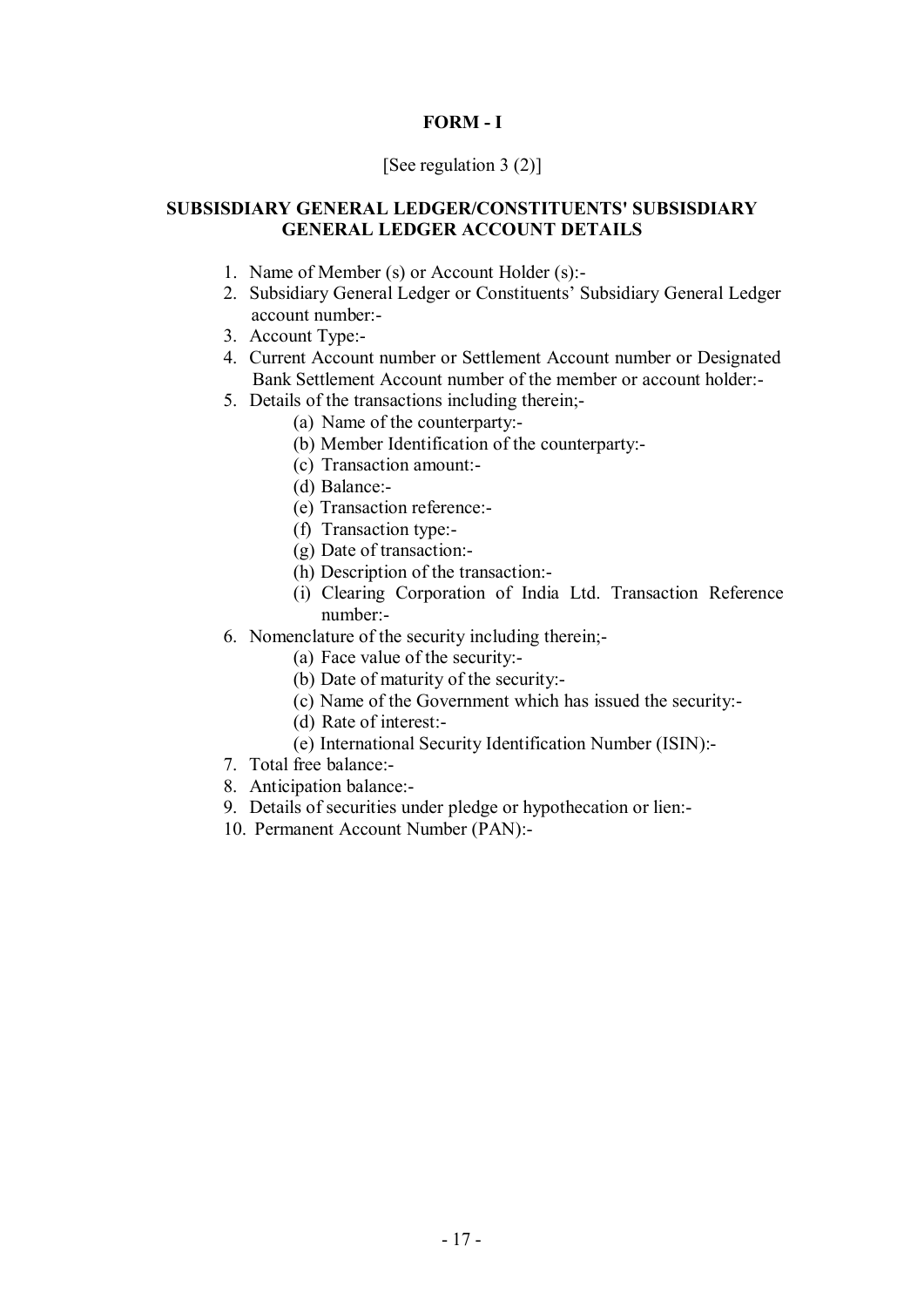# **FORM - I**

## [See regulation 3 (2)]

## **SUBSISDIARY GENERAL LEDGER/CONSTITUENTS' SUBSISDIARY GENERAL LEDGER ACCOUNT DETAILS**

- 1. Name of Member (s) or Account Holder (s):-
- 2. Subsidiary General Ledger or Constituents' Subsidiary General Ledger account number:-
- 3. Account Type:-
- 4. Current Account number or Settlement Account number or Designated Bank Settlement Account number of the member or account holder:-
- 5. Details of the transactions including therein;-
	- (a) Name of the counterparty:-
	- (b) Member Identification of the counterparty:-
	- (c) Transaction amount:-
	- (d) Balance:-
	- (e) Transaction reference:-
	- (f) Transaction type:-
	- (g) Date of transaction:-
	- (h) Description of the transaction:-
	- (i) Clearing Corporation of India Ltd. Transaction Reference number:-
- 6. Nomenclature of the security including therein;-
	- (a) Face value of the security:-
	- (b) Date of maturity of the security:-
	- (c) Name of the Government which has issued the security:-
	- (d) Rate of interest:-
	- (e) International Security Identification Number (ISIN):-
- 7. Total free balance:-
- 8. Anticipation balance:-
- 9. Details of securities under pledge or hypothecation or lien:-
- 10. Permanent Account Number (PAN):-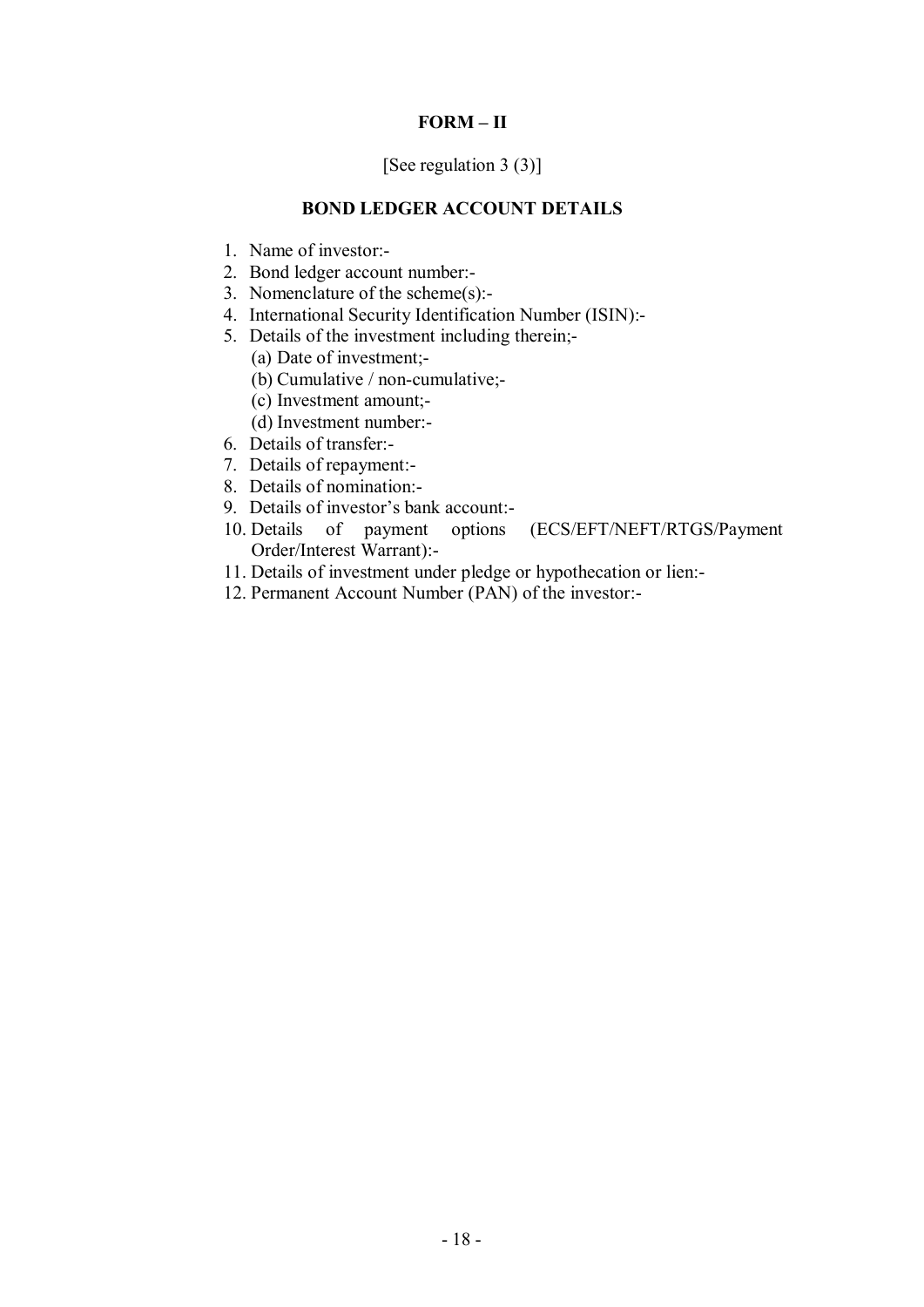# **FORM – II**

## [See regulation 3 (3)]

## **BOND LEDGER ACCOUNT DETAILS**

- 1. Name of investor:-
- 2. Bond ledger account number:-
- 3. Nomenclature of the scheme(s):-
- 4. International Security Identification Number (ISIN):-
- 5. Details of the investment including therein;-

(a) Date of investment;-

(b) Cumulative / non-cumulative;-

(c) Investment amount;-

- (d) Investment number:-
- 6. Details of transfer:-
- 7. Details of repayment:-
- 8. Details of nomination:-
- 9. Details of investor's bank account:-
- 10. Details of payment options (ECS/EFT/NEFT/RTGS/Payment Order/Interest Warrant):-
- 11. Details of investment under pledge or hypothecation or lien:-
- 12. Permanent Account Number (PAN) of the investor:-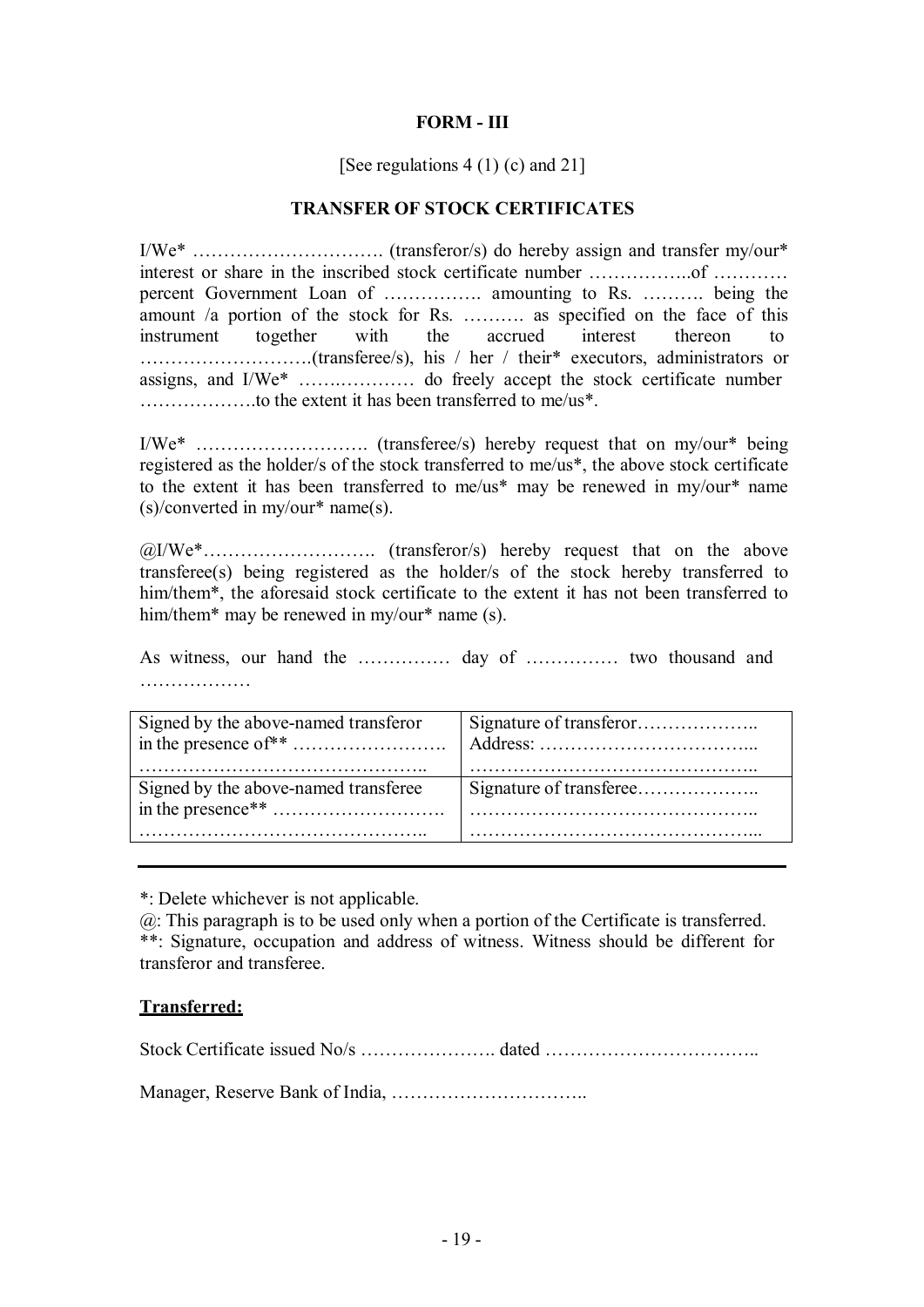## **FORM - III**

### [See regulations 4 (1) (c) and 21]

### **TRANSFER OF STOCK CERTIFICATES**

I/We\* …………………………. (transferor/s) do hereby assign and transfer my/our\* interest or share in the inscribed stock certificate number ……………..of ………… percent Government Loan of ……………. amounting to Rs. ………. being the amount /a portion of the stock for Rs. ………. as specified on the face of this instrument together with the accrued interest thereon to ……………………….(transferee/s), his / her / their\* executors, administrators or assigns, and I/We\* …….………… do freely accept the stock certificate number ……………….to the extent it has been transferred to me/us\*.

I/We\* ………………………. (transferee/s) hereby request that on my/our\* being registered as the holder/s of the stock transferred to me/us\*, the above stock certificate to the extent it has been transferred to me/us\* may be renewed in my/our\* name (s)/converted in my/our\* name(s).

[@I/W](mailto::@I)e\*………………………. (transferor/s) hereby request that on the above transferee(s) being registered as the holder/s of the stock hereby transferred to him/them\*, the aforesaid stock certificate to the extent it has not been transferred to him/them\* may be renewed in my/our\* name (s).

As witness, our hand the …………… day of …………… two thousand and ………………

| Signed by the above-named transferor |  |
|--------------------------------------|--|
|                                      |  |
|                                      |  |
| Signed by the above-named transferee |  |
|                                      |  |
|                                      |  |

\*: Delete whichever is not applicable.

[@: T](mailto::@)his paragraph is to be used only when a portion of the Certificate is transferred. \*\*: Signature, occupation and address of witness. Witness should be different for transferor and transferee.

#### **Transferred:**

Stock Certificate issued No/s …………………. dated ……………………………..

Manager, Reserve Bank of India, …………………………..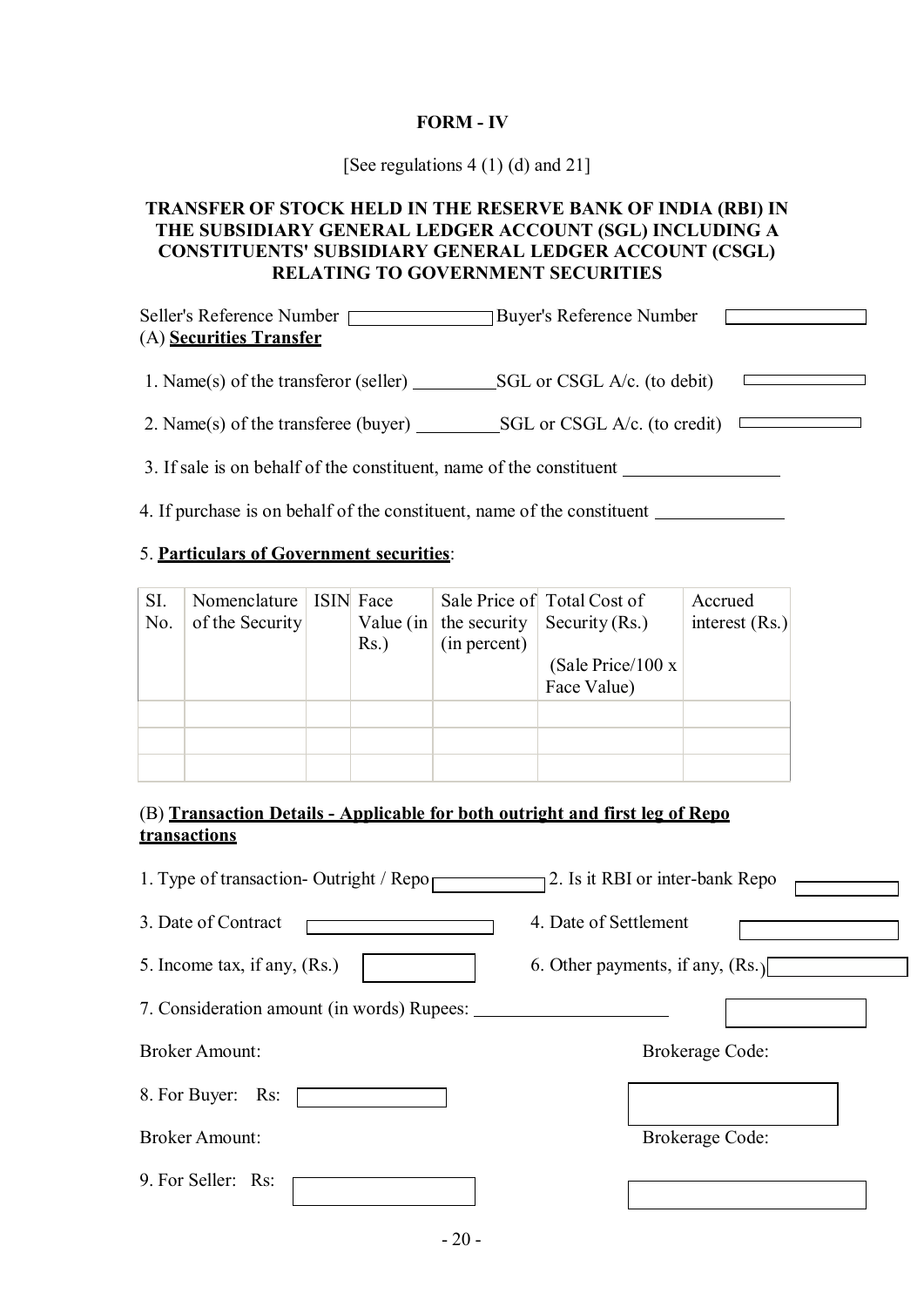# **FORM - IV**

[See regulations 4 (1) (d) and 21]

## **TRANSFER OF STOCK HELD IN THE RESERVE BANK OF INDIA (RBI) IN THE SUBSIDIARY GENERAL LEDGER ACCOUNT (SGL) INCLUDING A CONSTITUENTS' SUBSIDIARY GENERAL LEDGER ACCOUNT (CSGL) RELATING TO GOVERNMENT SECURITIES**

| Seller's Reference Number [ | <b>Buyer's Reference Number</b> |  |
|-----------------------------|---------------------------------|--|
| (A) Securities Transfer     |                                 |  |

1. Name(s) of the transferor (seller) SGL or CSGL A/c. (to debit)  $\overline{\phantom{a}}$ 

2. Name(s) of the transferee (buyer)  $\_\_\_\_\$ SGL or CSGL A/c. (to credit)

3. If sale is on behalf of the constituent, name of the constituent

4. If purchase is on behalf of the constituent, name of the constituent

# 5. **Particulars of Government securities**:

| SI. | Nomenclature    | ISIN Face    |              | Sale Price of Total Cost of | Accrued          |
|-----|-----------------|--------------|--------------|-----------------------------|------------------|
| No. | of the Security | Value $(in)$ | the security | Security $(Rs.)$            | interest $(Rs.)$ |
|     |                 | $Rs.$ )      | (in percent) |                             |                  |
|     |                 |              |              | (Sale Price/100 $x$ )       |                  |
|     |                 |              |              | Face Value)                 |                  |
|     |                 |              |              |                             |                  |
|     |                 |              |              |                             |                  |
|     |                 |              |              |                             |                  |

# (B) **Transaction Details - Applicable for both outright and first leg of Repo transactions**

| 1. Type of transaction- Outright / Repo    | 2. Is it RBI or inter-bank Repo    |
|--------------------------------------------|------------------------------------|
| 3. Date of Contract                        | 4. Date of Settlement              |
| 5. Income tax, if any, (Rs.)               | 6. Other payments, if any, $(Rs.)$ |
| 7. Consideration amount (in words) Rupees: |                                    |
| <b>Broker Amount:</b>                      | <b>Brokerage Code:</b>             |
| 8. For Buyer: Rs:                          |                                    |
| <b>Broker Amount:</b>                      | Brokerage Code:                    |
| 9. For Seller: Rs:                         |                                    |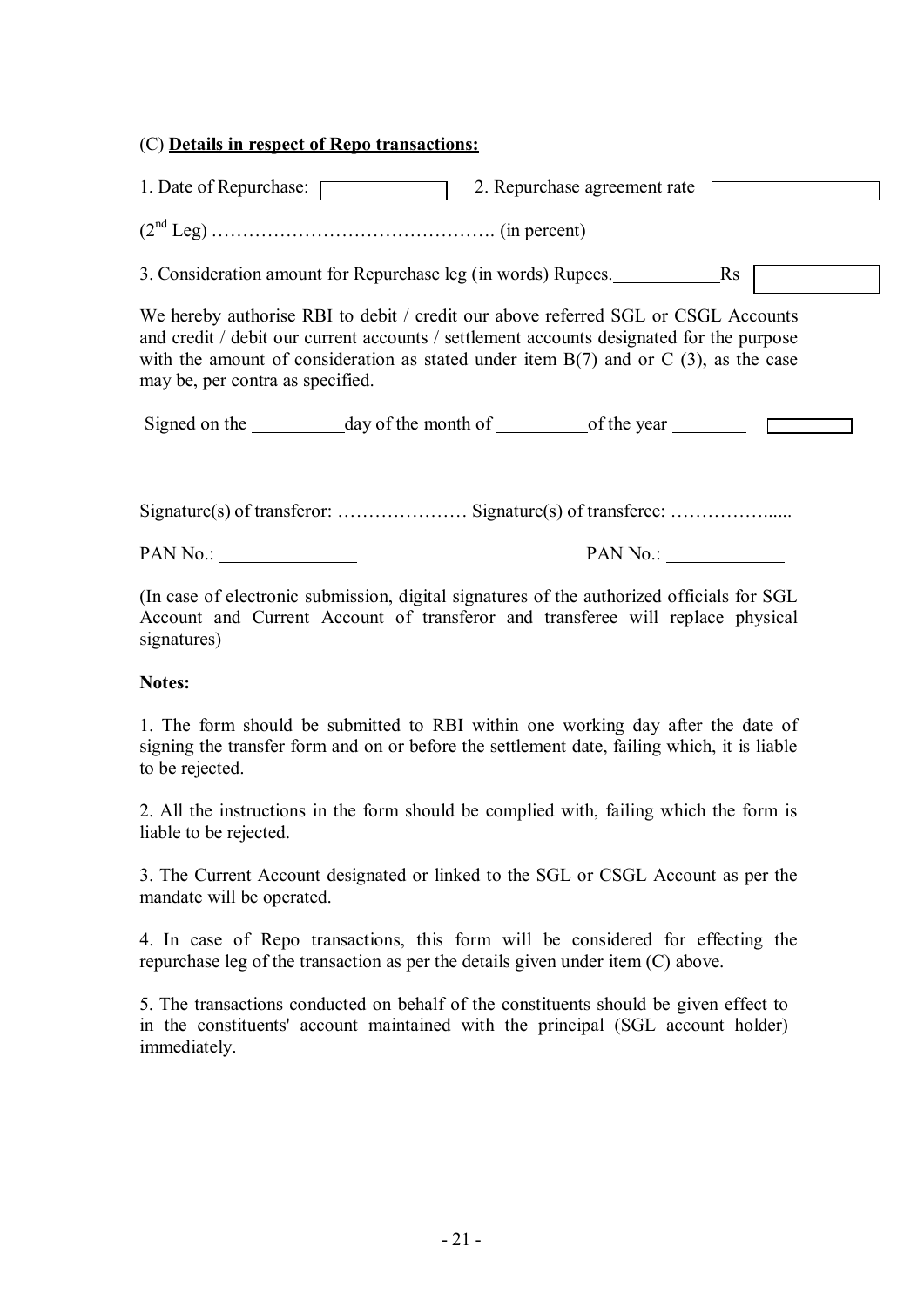## (C) **Details in respect of Repo transactions:**

| 1. Date of Repurchase: | 2. Repurchase agreement rate |  |
|------------------------|------------------------------|--|
|                        |                              |  |

(2nd Leg) ………………………………………. (in percent)

3. Consideration amount for Repurchase leg (in words) Rupees. Rs

We hereby authorise RBI to debit / credit our above referred SGL or CSGL Accounts and credit / debit our current accounts / settlement accounts designated for the purpose with the amount of consideration as stated under item  $B(7)$  and or C (3), as the case may be, per contra as specified.

Signed on the  $\qquad \qquad$  day of the month of  $\qquad \qquad$  of the year

Signature(s) of transferor: ………………… Signature(s) of transferee: ……………......

PAN No.: PAN No.:

(In case of electronic submission, digital signatures of the authorized officials for SGL Account and Current Account of transferor and transferee will replace physical signatures)

#### **Notes:**

1. The form should be submitted to RBI within one working day after the date of signing the transfer form and on or before the settlement date, failing which, it is liable to be rejected.

2. All the instructions in the form should be complied with, failing which the form is liable to be rejected.

3. The Current Account designated or linked to the SGL or CSGL Account as per the mandate will be operated.

4. In case of Repo transactions, this form will be considered for effecting the repurchase leg of the transaction as per the details given under item (C) above.

5. The transactions conducted on behalf of the constituents should be given effect to in the constituents' account maintained with the principal (SGL account holder) immediately.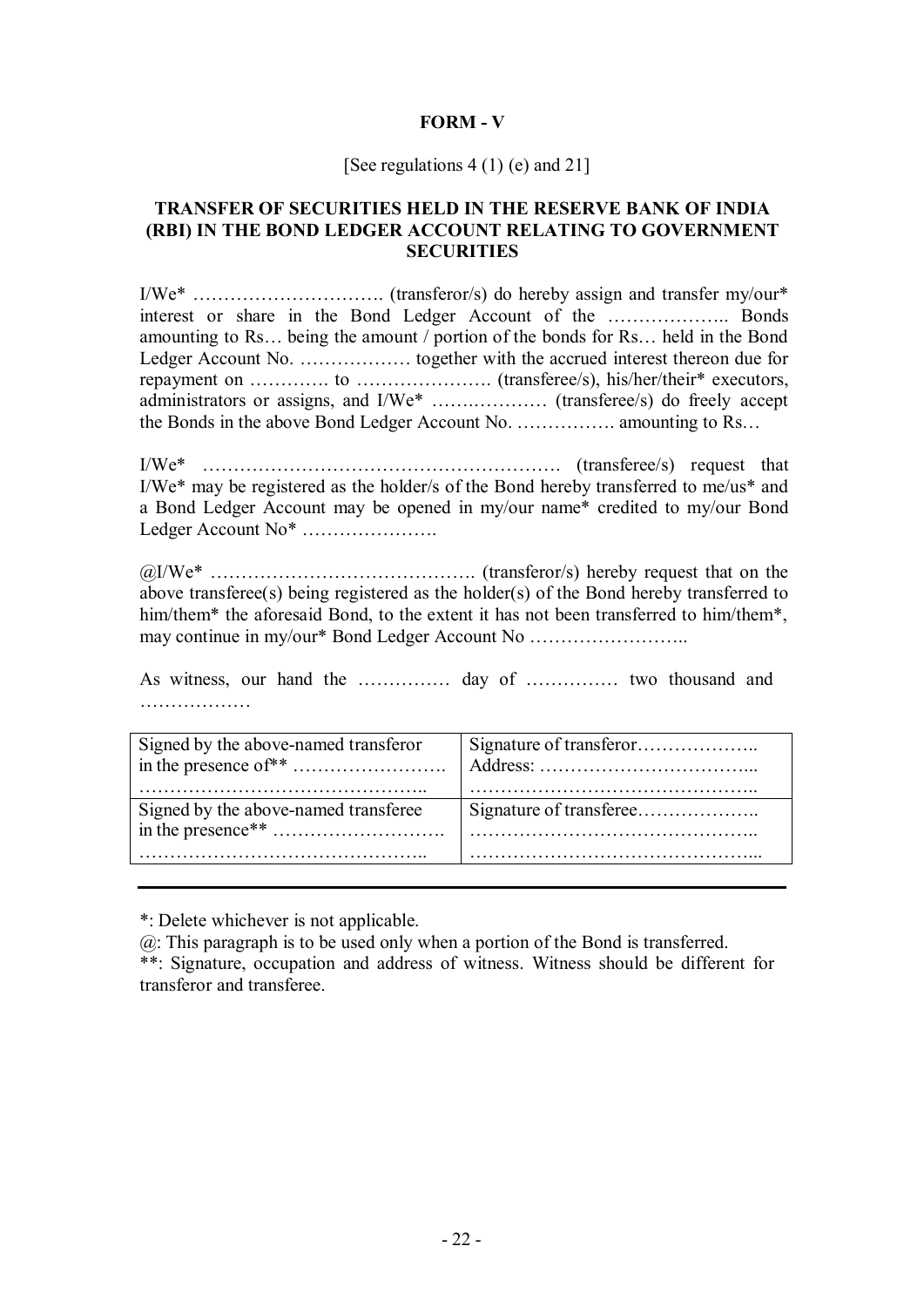### **FORM - V**

#### [See regulations  $4(1)(e)$  and  $211$ ]

### **TRANSFER OF SECURITIES HELD IN THE RESERVE BANK OF INDIA (RBI) IN THE BOND LEDGER ACCOUNT RELATING TO GOVERNMENT SECURITIES**

I/We\* …………………………. (transferor/s) do hereby assign and transfer my/our\* interest or share in the Bond Ledger Account of the ……………….. Bonds amounting to Rs… being the amount / portion of the bonds for Rs… held in the Bond Ledger Account No. ……………… together with the accrued interest thereon due for repayment on ………….. to ……………………. (transferee/s), his/her/their\* executors, administrators or assigns, and I/We\* …….………… (transferee/s) do freely accept the Bonds in the above Bond Ledger Account No. ……………. amounting to Rs…

I/We\* …………………………………………………. (transferee/s) request that I/We\* may be registered as the holder/s of the Bond hereby transferred to me/us\* and a Bond Ledger Account may be opened in my/our name\* credited to my/our Bond Ledger Account No\* ………………….

[@I/W](mailto::@I)e\* ……………………………………. (transferor/s) hereby request that on the above transferee(s) being registered as the holder(s) of the Bond hereby transferred to him/them\* the aforesaid Bond, to the extent it has not been transferred to him/them\*, may continue in my/our\* Bond Ledger Account No ……………………..

As witness, our hand the …………… day of …………… two thousand and ……………………

| Signed by the above-named transferor |  |
|--------------------------------------|--|
|                                      |  |
|                                      |  |
| Signed by the above-named transferee |  |
|                                      |  |
|                                      |  |
|                                      |  |

\*: Delete whichever is not applicable.

[@: T](mailto::@)his paragraph is to be used only when a portion of the Bond is transferred.

\*\*: Signature, occupation and address of witness. Witness should be different for transferor and transferee.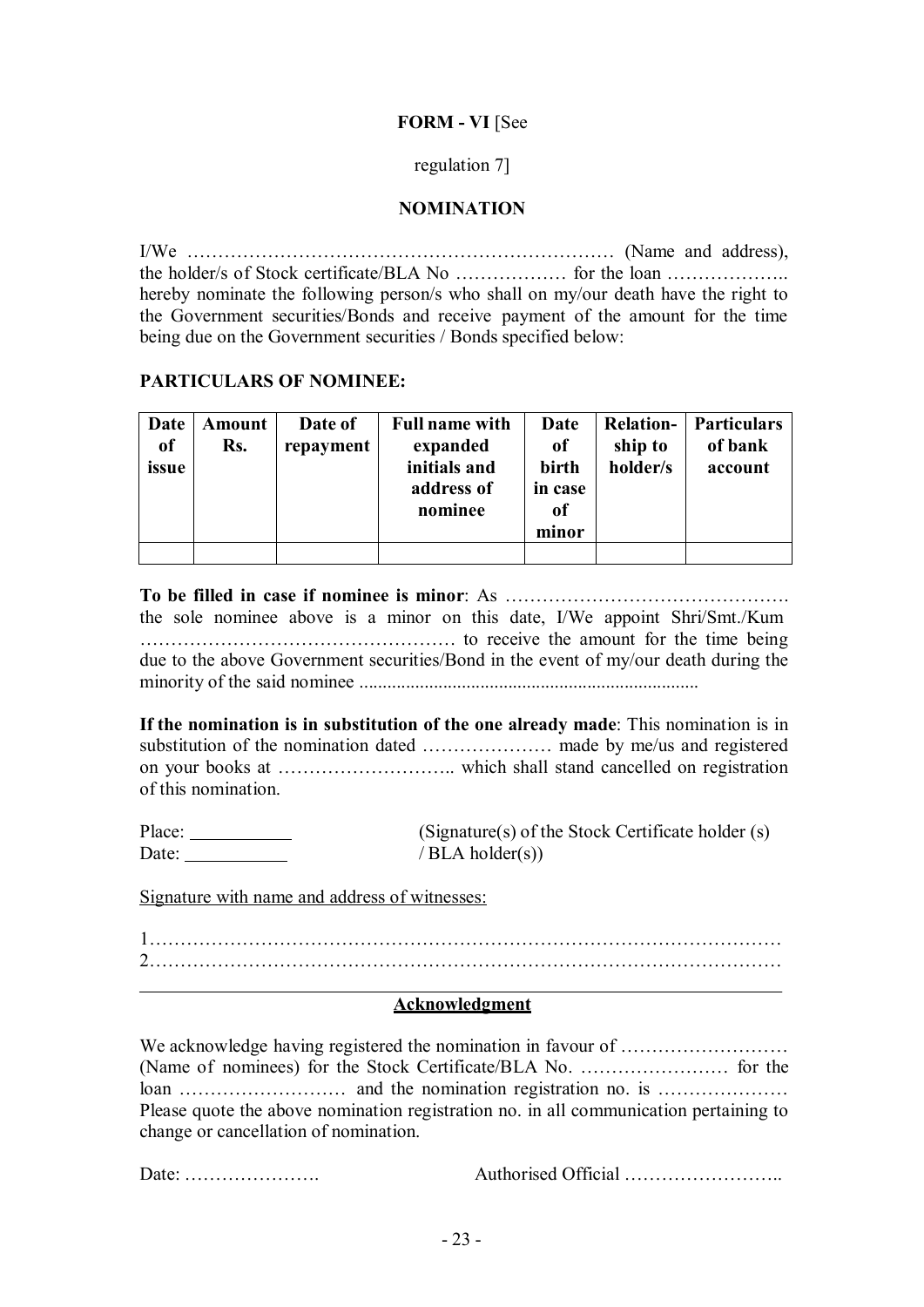## **FORM - VI** [See

### regulation 7]

## **NOMINATION**

I/We …………………………………………………………… (Name and address), the holder/s of Stock certificate/BLA No ……………… for the loan ……………….. hereby nominate the following person/s who shall on my/our death have the right to the Government securities/Bonds and receive payment of the amount for the time being due on the Government securities / Bonds specified below:

### **PARTICULARS OF NOMINEE:**

| Date          | Amount | Date of   | <b>Full name with</b> | Date          | <b>Relation-</b> | <b>Particulars</b> |
|---------------|--------|-----------|-----------------------|---------------|------------------|--------------------|
| <sub>of</sub> | Rs.    | repayment | expanded              | <sub>of</sub> | ship to          | of bank            |
| issue         |        |           | initials and          | birth         | holder/s         | account            |
|               |        |           | address of            | in case       |                  |                    |
|               |        |           | nominee               | 0f            |                  |                    |
|               |        |           |                       | minor         |                  |                    |
|               |        |           |                       |               |                  |                    |

### **To be filled in case if nominee is minor**: As ……………………………………….

the sole nominee above is a minor on this date, I/We appoint Shri/Smt./Kum …………………………………………… to receive the amount for the time being due to the above Government securities/Bond in the event of my/our death during the minority of the said nominee .........................................................................

**If the nomination is in substitution of the one already made**: This nomination is in substitution of the nomination dated ………………… made by me/us and registered on your books at ……………………….. which shall stand cancelled on registration of this nomination.

| Place: | (Signature(s) of the Stock Certificate holder (s) |
|--------|---------------------------------------------------|
| Date:  | / $BLA$ holder(s))                                |

Signature with name and address of witnesses:

1………………………………………………………………………………………… 2…………………………………………………………………………………………

#### **Acknowledgment**

We acknowledge having registered the nomination in favour of ……………………… (Name of nominees) for the Stock Certificate/BLA No. …………………… for the loan ……………………… and the nomination registration no. is ………………… Please quote the above nomination registration no. in all communication pertaining to change or cancellation of nomination.

Date: …………………. Authorised Official ……………………..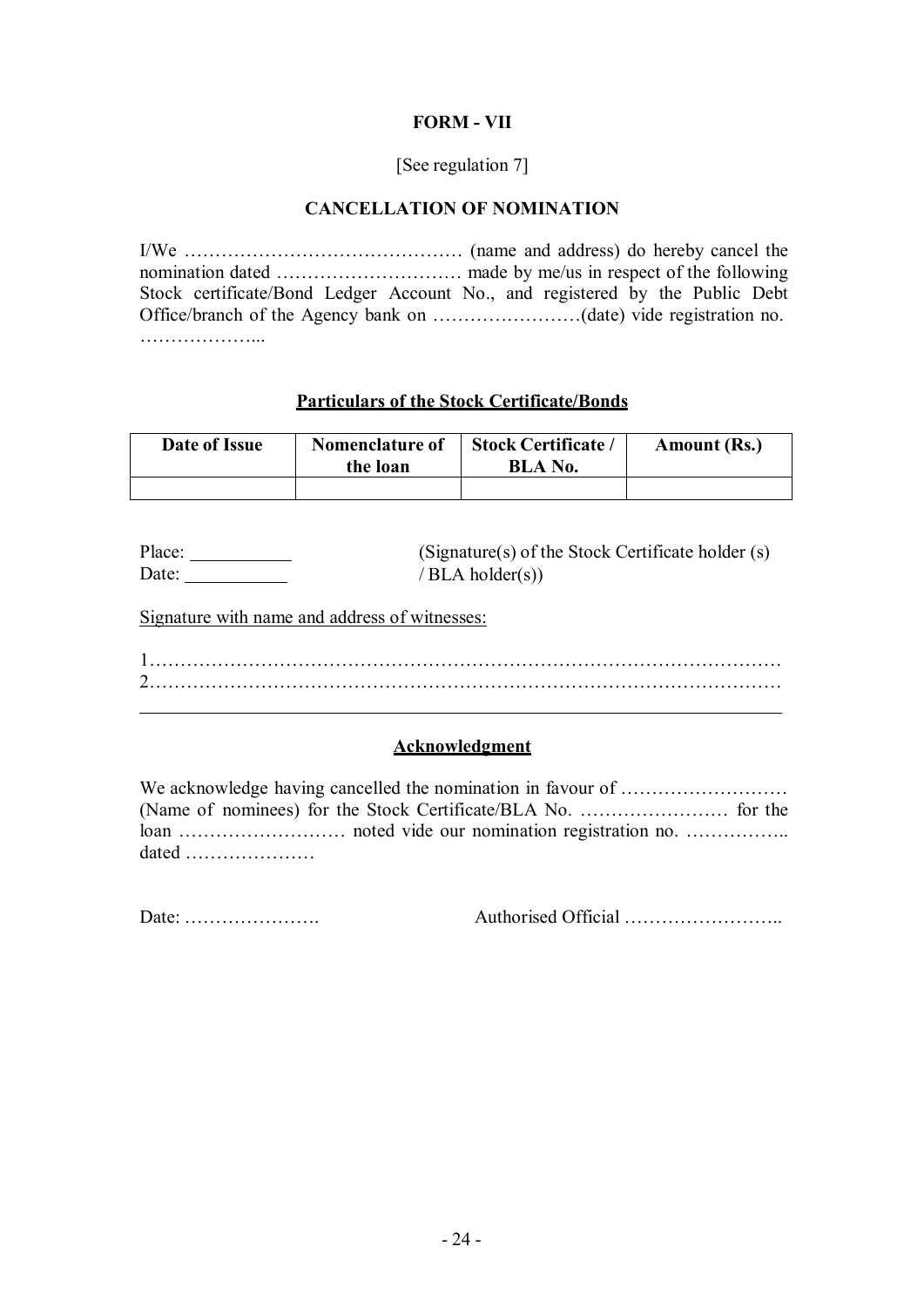## **FORM - VII**

## [See regulation 7]

### **CANCELLATION OF NOMINATION**

I/We ……………………………………… (name and address) do hereby cancel the nomination dated ………………………… made by me/us in respect of the following Stock certificate/Bond Ledger Account No., and registered by the Public Debt Office/branch of the Agency bank on ……………………(date) vide registration no. ………………...

# **Particulars of the Stock Certificate/Bonds**

| Date of Issue | Nomenclature of<br>the loan | <b>Stock Certificate /</b><br>BLA No. | Amount (Rs.) |
|---------------|-----------------------------|---------------------------------------|--------------|
|               |                             |                                       |              |

| Place: | (Signature(s) of the Stock Certificate holder (s) |
|--------|---------------------------------------------------|
| Date:  | / $BLA$ holder(s))                                |

Signature with name and address of witnesses:

1………………………………………………………………………………………… 2…………………………………………………………………………………………

## **Acknowledgment**

We acknowledge having cancelled the nomination in favour of ……………………… (Name of nominees) for the Stock Certificate/BLA No. …………………… for the loan ……………………… noted vide our nomination registration no. …………….. dated …………………

Date: …………………. Authorised Official ……………………..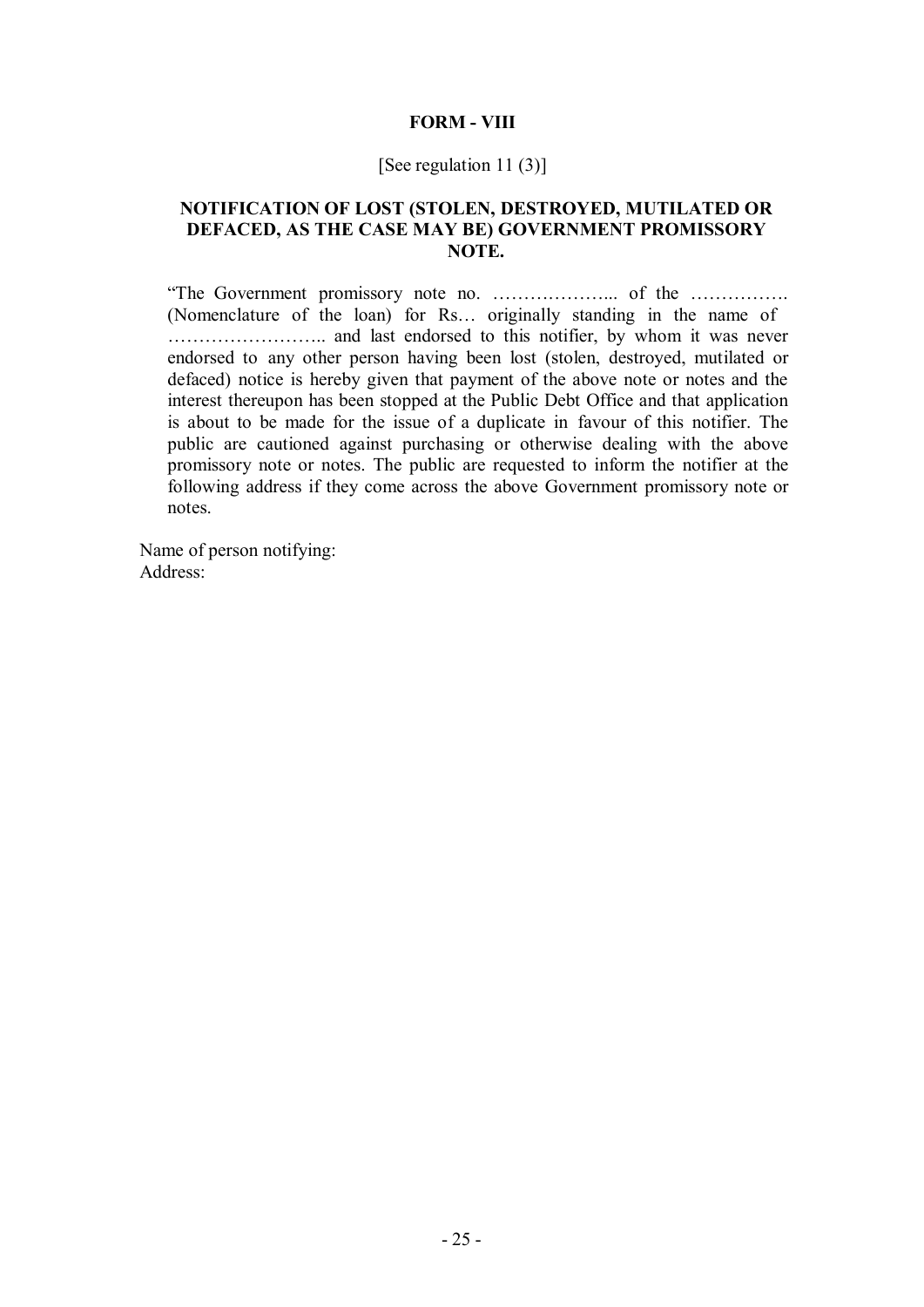#### **FORM - VIII**

#### [See regulation 11 (3)]

### **NOTIFICATION OF LOST (STOLEN, DESTROYED, MUTILATED OR DEFACED, AS THE CASE MAY BE) GOVERNMENT PROMISSORY NOTE.**

"The Government promissory note no. ………………... of the ……………. (Nomenclature of the loan) for Rs… originally standing in the name of …………………….. and last endorsed to this notifier, by whom it was never endorsed to any other person having been lost (stolen, destroyed, mutilated or defaced) notice is hereby given that payment of the above note or notes and the interest thereupon has been stopped at the Public Debt Office and that application is about to be made for the issue of a duplicate in favour of this notifier. The public are cautioned against purchasing or otherwise dealing with the above promissory note or notes. The public are requested to inform the notifier at the following address if they come across the above Government promissory note or notes.

Name of person notifying: Address: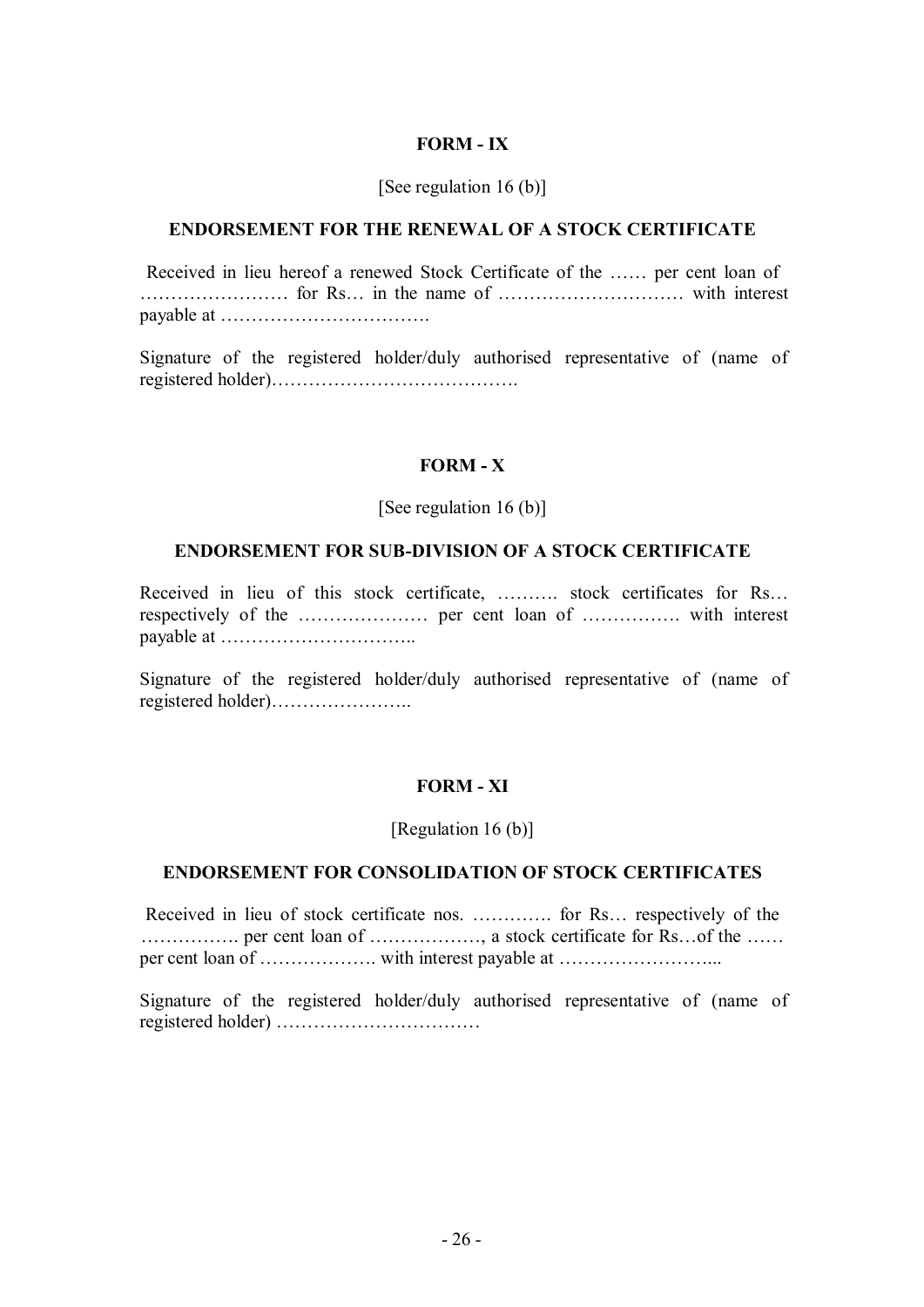#### **FORM - IX**

#### [See regulation 16 (b)]

## **ENDORSEMENT FOR THE RENEWAL OF A STOCK CERTIFICATE**

Received in lieu hereof a renewed Stock Certificate of the …… per cent loan of …………………… for Rs… in the name of ………………………… with interest payable at …………………………….

Signature of the registered holder/duly authorised representative of (name of registered holder)………………………………….

### **FORM - X**

#### [See regulation 16 (b)]

#### **ENDORSEMENT FOR SUB-DIVISION OF A STOCK CERTIFICATE**

Received in lieu of this stock certificate, ………. stock certificates for Rs… respectively of the ………………… per cent loan of ……………. with interest payable at …………………………..

Signature of the registered holder/duly authorised representative of (name of registered holder)…………………..

#### **FORM - XI**

#### [Regulation 16 (b)]

#### **ENDORSEMENT FOR CONSOLIDATION OF STOCK CERTIFICATES**

Received in lieu of stock certificate nos. …………. for Rs… respectively of the ……………. per cent loan of ………………, a stock certificate for Rs…of the …… per cent loan of ………………. with interest payable at ……………………...

Signature of the registered holder/duly authorised representative of (name of registered holder) ……………………………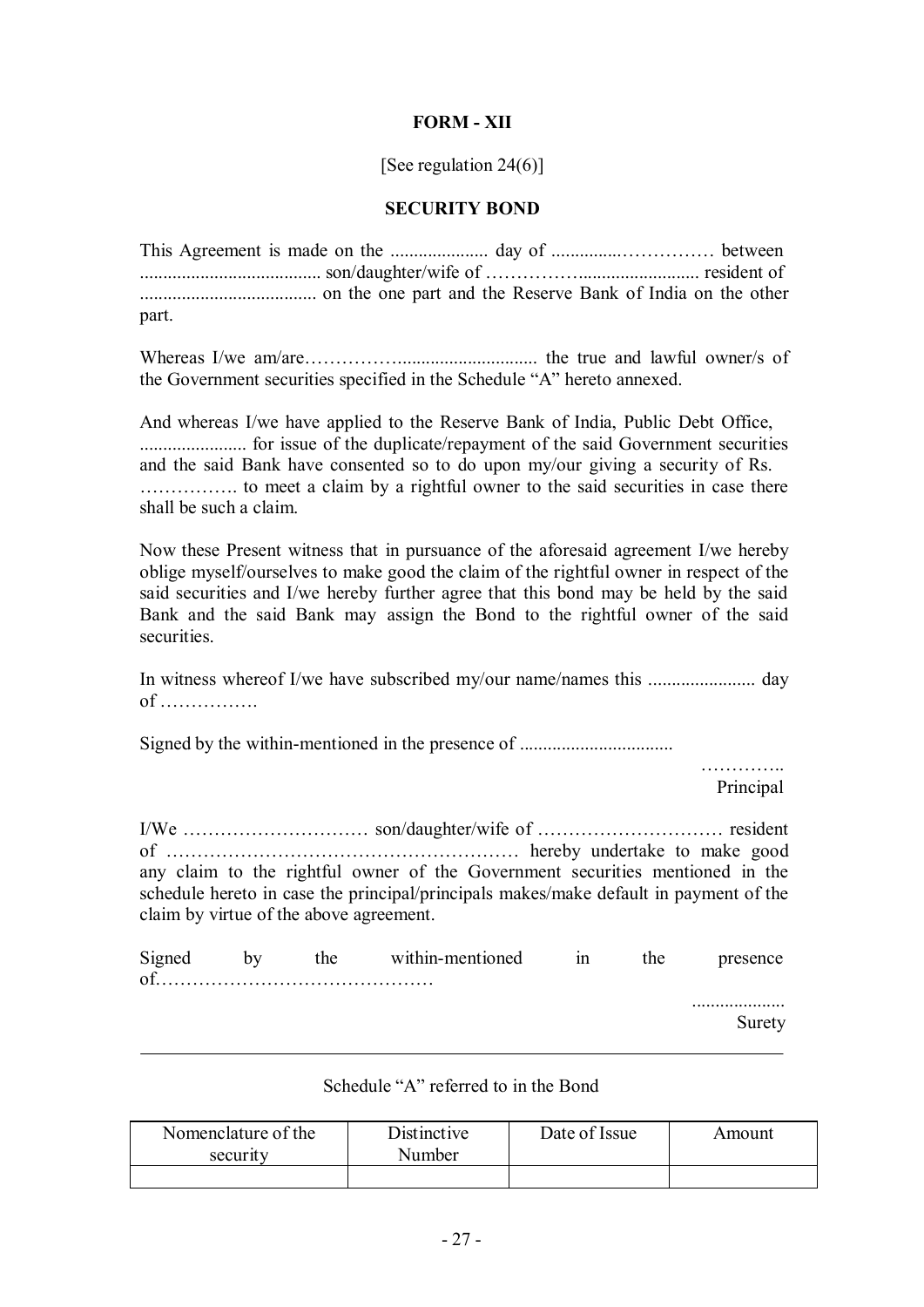## **FORM - XII**

[See regulation 24(6)]

### **SECURITY BOND**

This Agreement is made on the ..................... day of ...............…………… between ....................................... son/daughter/wife of …………….......................... resident of ...................................... on the one part and the Reserve Bank of India on the other part.

Whereas I/we am/are…………….............................. the true and lawful owner/s of the Government securities specified in the Schedule "A" hereto annexed.

And whereas I/we have applied to the Reserve Bank of India, Public Debt Office, ....................... for issue of the duplicate/repayment of the said Government securities and the said Bank have consented so to do upon my/our giving a security of Rs. ……………. to meet a claim by a rightful owner to the said securities in case there shall be such a claim.

Now these Present witness that in pursuance of the aforesaid agreement I/we hereby oblige myself/ourselves to make good the claim of the rightful owner in respect of the said securities and I/we hereby further agree that this bond may be held by the said Bank and the said Bank may assign the Bond to the rightful owner of the said securities.

In witness whereof I/we have subscribed my/our name/names this ....................... day of …………….

Signed by the within-mentioned in the presence of .................................

……………… Principal

I/We ………………………… son/daughter/wife of ………………………… resident of ………………………………………………… hereby undertake to make good any claim to the rightful owner of the Government securities mentioned in the schedule hereto in case the principal/principals makes/make default in payment of the claim by virtue of the above agreement.

| Signed | the | within-mentioned | 1n | the | presence |
|--------|-----|------------------|----|-----|----------|
| ∩t     |     |                  |    |     |          |
|        |     |                  |    |     | .        |

Surety

#### Schedule "A" referred to in the Bond

| Nomenclature of the<br>security | Distinctive<br>Number | Date of Issue | Amount |
|---------------------------------|-----------------------|---------------|--------|
|                                 |                       |               |        |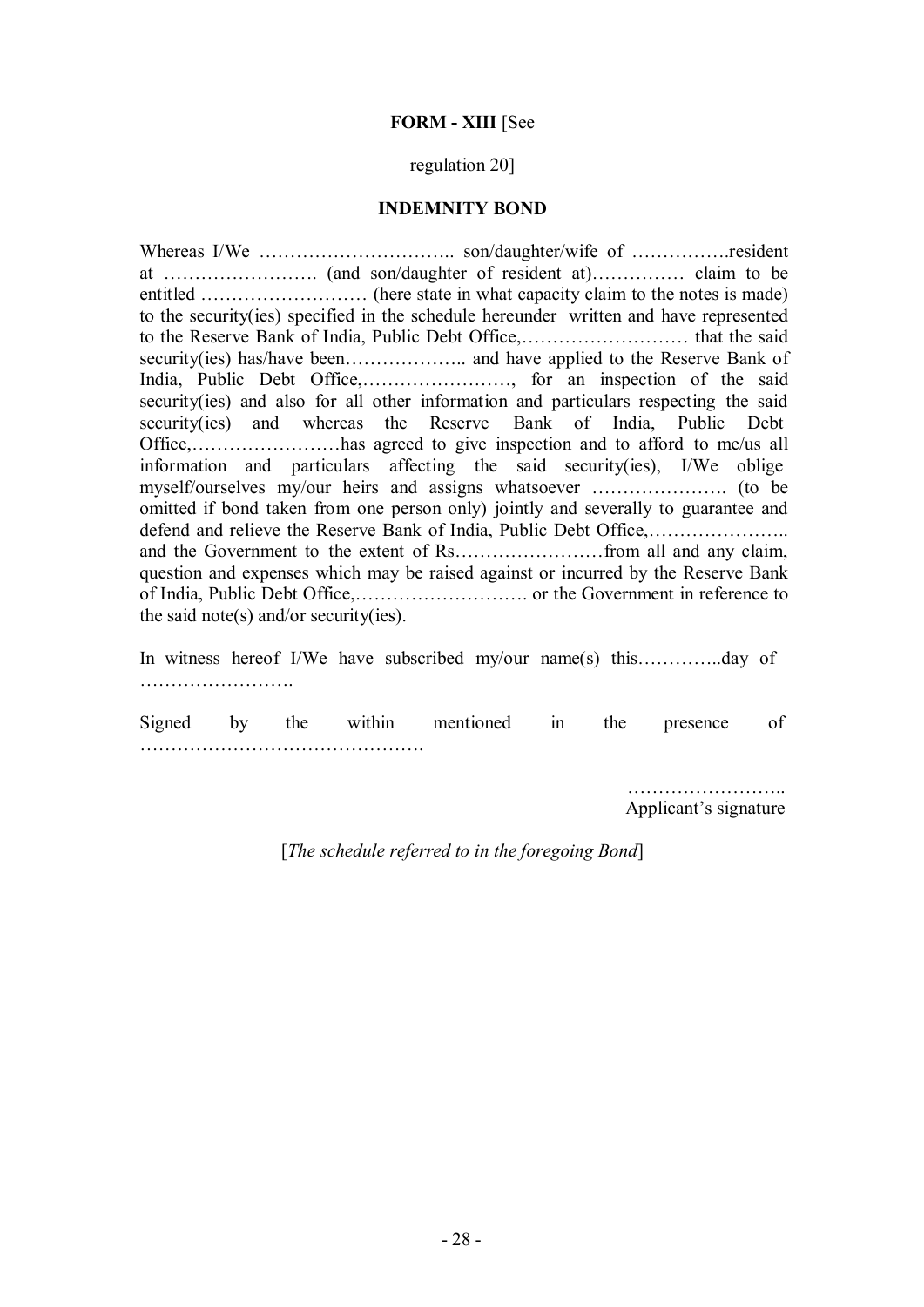#### **FORM - XIII** [See

#### regulation 20]

#### **INDEMNITY BOND**

Whereas I/We ……………………………………………… son/daughter/wife of ………………resident at ……………………. (and son/daughter of resident at)…………… claim to be entitled ……………………… (here state in what capacity claim to the notes is made) to the security(ies) specified in the schedule hereunder written and have represented to the Reserve Bank of India, Public Debt Office,……………………… that the said security(ies) has/have been……………….. and have applied to the Reserve Bank of India, Public Debt Office,……………………, for an inspection of the said security(ies) and also for all other information and particulars respecting the said security(ies) and whereas the Reserve Bank of India, Public Debt Office,……………………has agreed to give inspection and to afford to me/us all information and particulars affecting the said security(ies), I/We oblige myself/ourselves my/our heirs and assigns whatsoever …………………. (to be omitted if bond taken from one person only) jointly and severally to guarantee and defend and relieve the Reserve Bank of India, Public Debt Office,………………….. and the Government to the extent of Rs……………………from all and any claim, question and expenses which may be raised against or incurred by the Reserve Bank of India, Public Debt Office,………………………. or the Government in reference to the said note(s) and/or security(ies).

In witness hereof I/We have subscribed my/our name(s) this…………..day of …………………….

Signed by the within mentioned in the presence of ……………………………………….

> …………………….. Applicant's signature

[*The schedule referred to in the foregoing Bond*]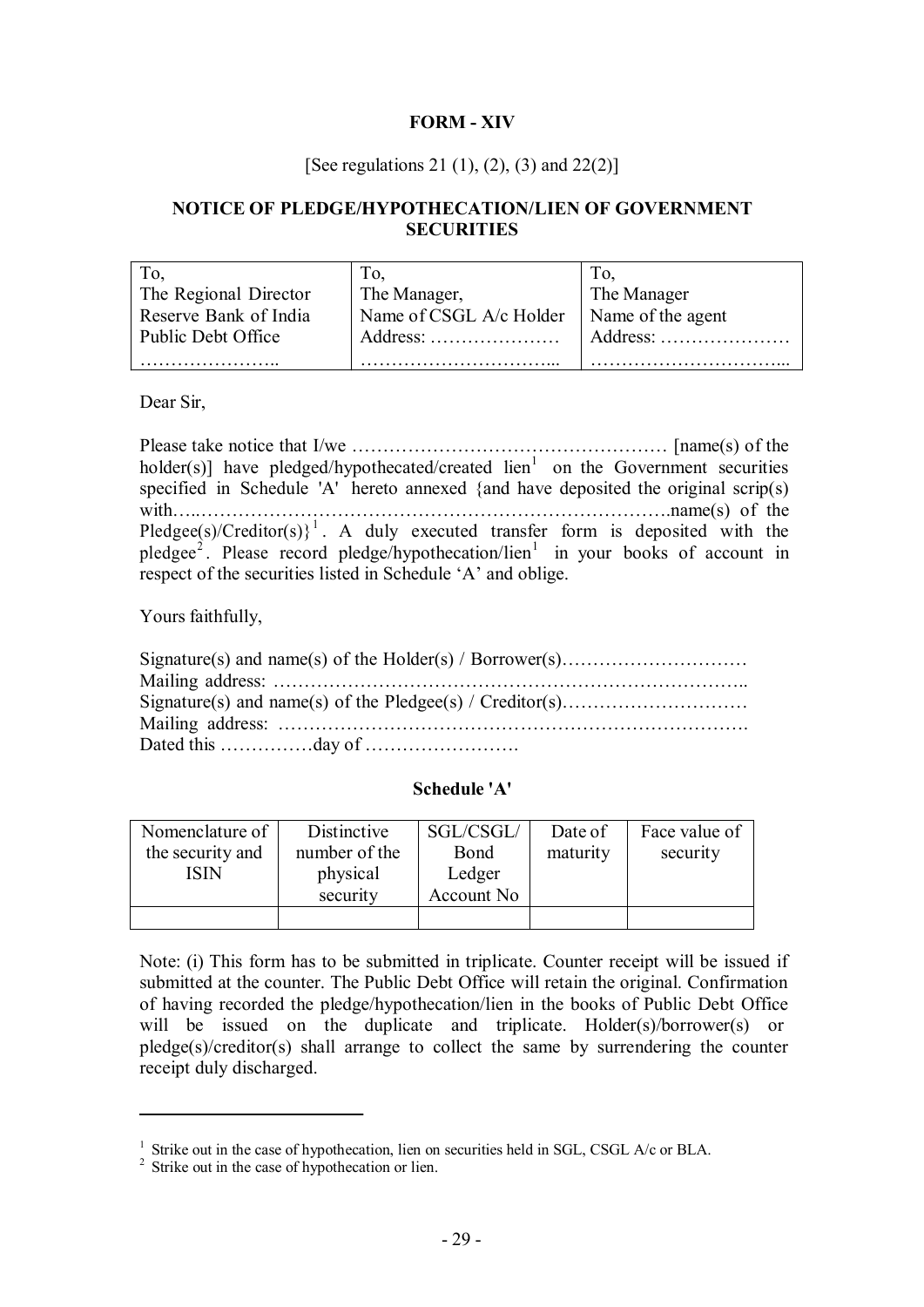## **FORM - XIV**

### [See regulations 21 (1), (2), (3) and 22(2)]

## **NOTICE OF PLEDGE/HYPOTHECATION/LIEN OF GOVERNMENT SECURITIES**

| To.                   | Tо.                     |                   |
|-----------------------|-------------------------|-------------------|
| The Regional Director | The Manager,            | The Manager       |
| Reserve Bank of India | Name of CSGL A/c Holder | Name of the agent |
| Public Debt Office    |                         | Address:          |
|                       |                         |                   |

Dear Sir,

Please take notice that I/we …………………………………………… [name(s) of the holder(s)] have pledged/hypothecated/created  $\text{lien}^1$  on the Government securities specified in Schedule 'A' hereto annexed {and have deposited the original scrip(s) with…..………………………………………………………………….name(s) of the Pledgee(s)/Creditor(s) $\}^1$ . A duly executed transfer form is deposited with the pledgee<sup>2</sup>. Please record pledge/hypothecation/lien<sup>1</sup> in your books of account in respect of the securities listed in Schedule 'A' and oblige.

Yours faithfully,

### **Schedule 'A'**

| Nomenclature of<br>the security and<br>ISIN | Distinctive<br>number of the<br>physical<br>security | SGL/CSGL/<br>Bond<br>Ledger<br>Account No | Date of<br>maturity | Face value of<br>security |
|---------------------------------------------|------------------------------------------------------|-------------------------------------------|---------------------|---------------------------|
|                                             |                                                      |                                           |                     |                           |

Note: (i) This form has to be submitted in triplicate. Counter receipt will be issued if submitted at the counter. The Public Debt Office will retain the original. Confirmation of having recorded the pledge/hypothecation/lien in the books of Public Debt Office will be issued on the duplicate and triplicate. Holder(s)/borrower(s) or pledge(s)/creditor(s) shall arrange to collect the same by surrendering the counter receipt duly discharged.

<sup>&</sup>lt;sup>1</sup> Strike out in the case of hypothecation, lien on securities held in SGL, CSGL A/c or BLA.

<sup>&</sup>lt;sup>2</sup> Strike out in the case of hypothecation or lien.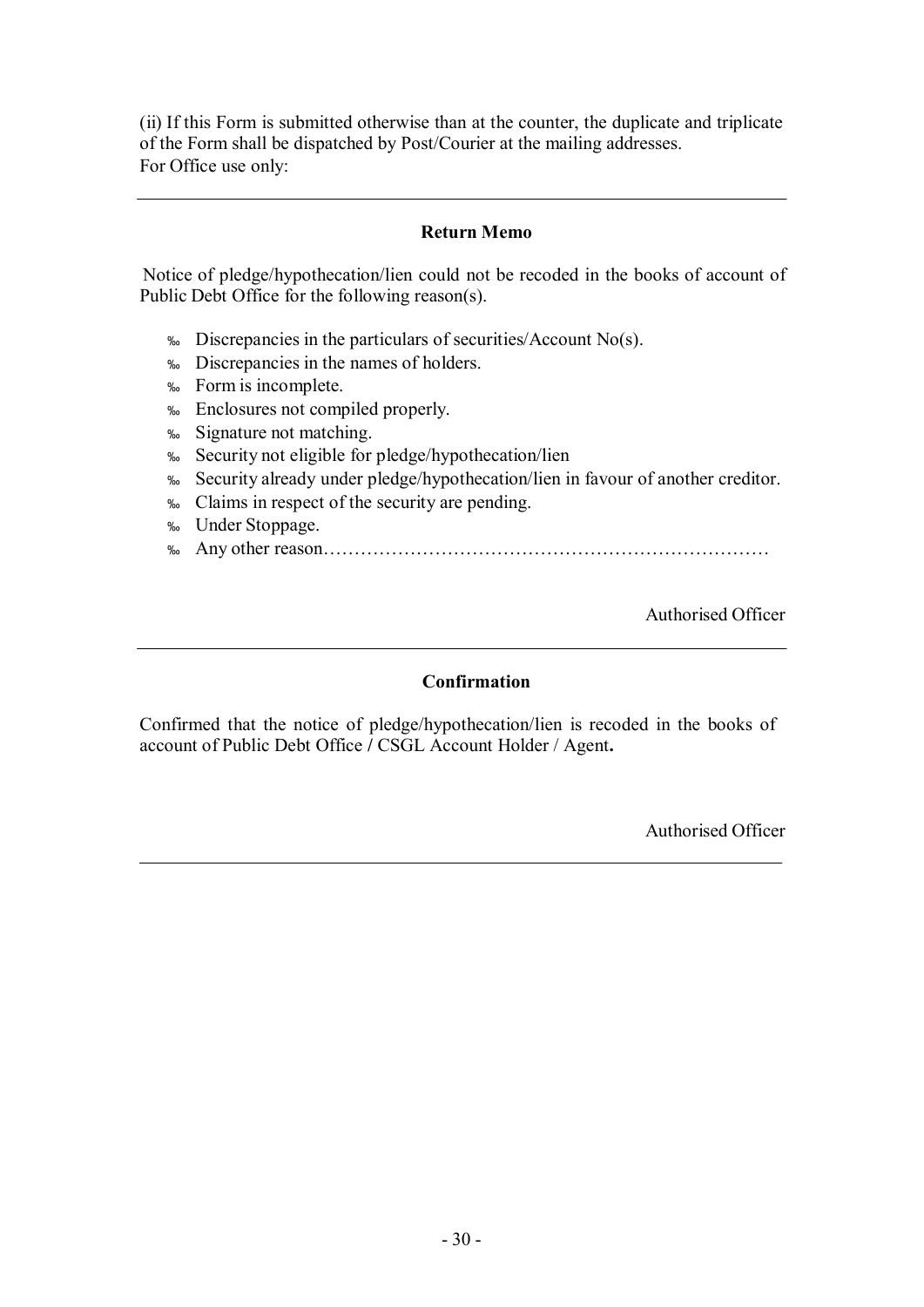(ii) If this Form is submitted otherwise than at the counter, the duplicate and triplicate of the Form shall be dispatched by Post/Courier at the mailing addresses. For Office use only:

## **Return Memo**

Notice of pledge/hypothecation/lien could not be recoded in the books of account of Public Debt Office for the following reason(s).

- ‰ Discrepancies in the particulars of securities/Account No(s).
- ‰ Discrepancies in the names of holders.
- ‰ Form is incomplete.
- ‰ Enclosures not compiled properly.
- ‰ Signature not matching.
- ‰ Security not eligible for pledge/hypothecation/lien
- ‰ Security already under pledge/hypothecation/lien in favour of another creditor.
- ‰ Claims in respect of the security are pending.
- ‰ Under Stoppage.
- ‰ Any other reason………………………………………………………………

Authorised Officer

## **Confirmation**

Confirmed that the notice of pledge/hypothecation/lien is recoded in the books of account of Public Debt Office **/** CSGL Account Holder / Agent**.**

Authorised Officer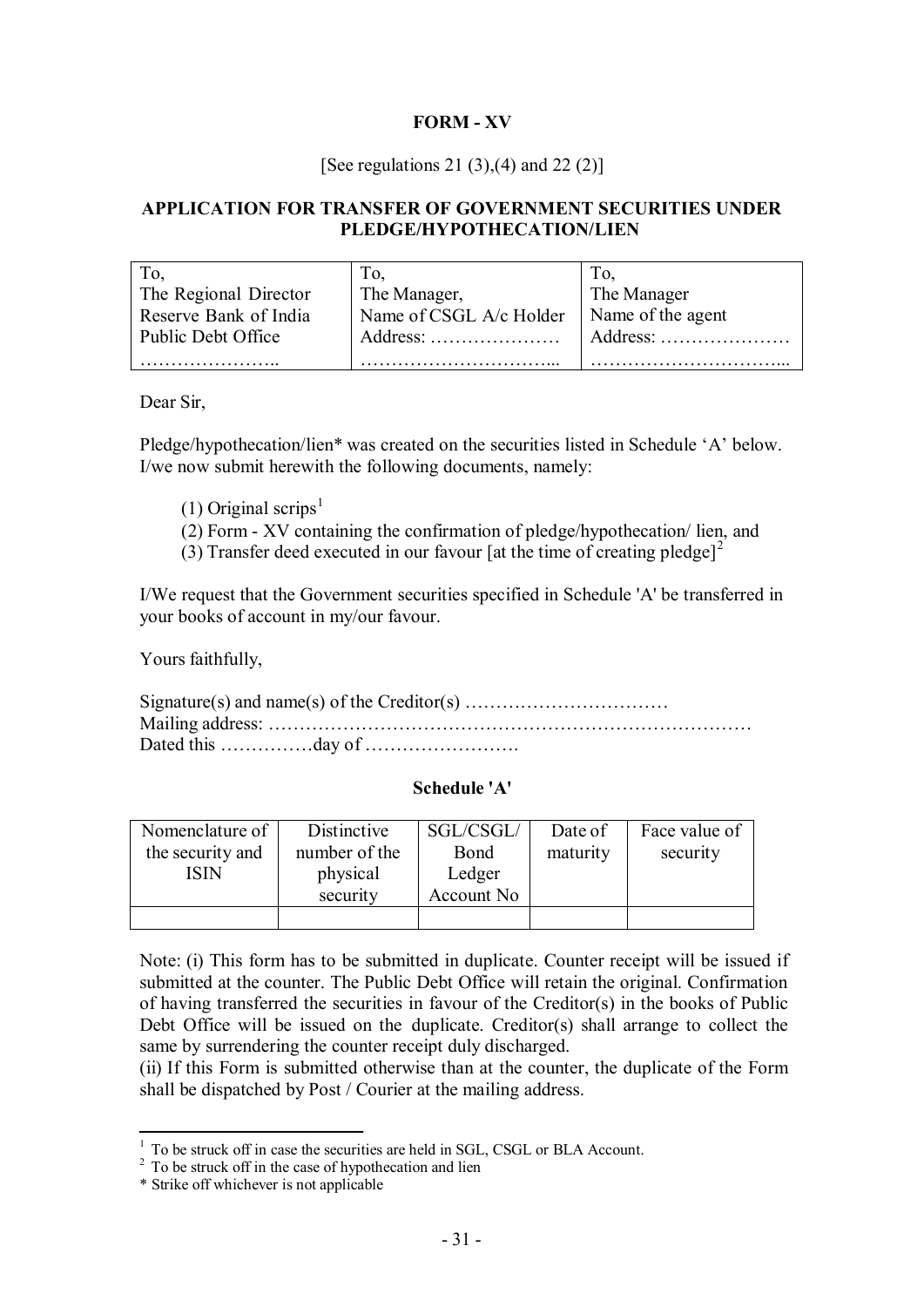# **FORM - XV**

## [See regulations 21 (3),(4) and 22 (2)]

## **APPLICATION FOR TRANSFER OF GOVERNMENT SECURITIES UNDER PLEDGE/HYPOTHECATION/LIEN**

|                       | Tо.                     |                   |
|-----------------------|-------------------------|-------------------|
| The Regional Director | The Manager,            | The Manager       |
| Reserve Bank of India | Name of CSGL A/c Holder | Name of the agent |
| Public Debt Office    | $Address: \ldots$       | Address:          |
|                       |                         |                   |

Dear Sir,

Pledge/hypothecation/lien\* was created on the securities listed in Schedule 'A' below. I/we now submit herewith the following documents, namely:

- (1) Original scrips<sup>1</sup>
- (2) Form XV containing the confirmation of pledge/hypothecation/ lien, and
- (3) Transfer deed executed in our favour [at the time of creating pledge]<sup>2</sup>

I/We request that the Government securities specified in Schedule 'A' be transferred in your books of account in my/our favour.

Yours faithfully,

## **Schedule 'A'**

| Nomenclature of<br>the security and<br>ISIN | Distinctive<br>number of the<br>physical<br>security | SGL/CSGL/<br>Bond<br>Ledger<br>Account No | Date of<br>maturity | Face value of<br>security |
|---------------------------------------------|------------------------------------------------------|-------------------------------------------|---------------------|---------------------------|
|                                             |                                                      |                                           |                     |                           |

Note: (i) This form has to be submitted in duplicate. Counter receipt will be issued if submitted at the counter. The Public Debt Office will retain the original. Confirmation of having transferred the securities in favour of the Creditor(s) in the books of Public Debt Office will be issued on the duplicate. Creditor(s) shall arrange to collect the same by surrendering the counter receipt duly discharged.

(ii) If this Form is submitted otherwise than at the counter, the duplicate of the Form shall be dispatched by Post / Courier at the mailing address.

<sup>&</sup>lt;sup>1</sup> To be struck off in case the securities are held in SGL, CSGL or BLA Account.

<sup>&</sup>lt;sup>2</sup> To be struck off in the case of hypothecation and lien

<sup>\*</sup> Strike off whichever is not applicable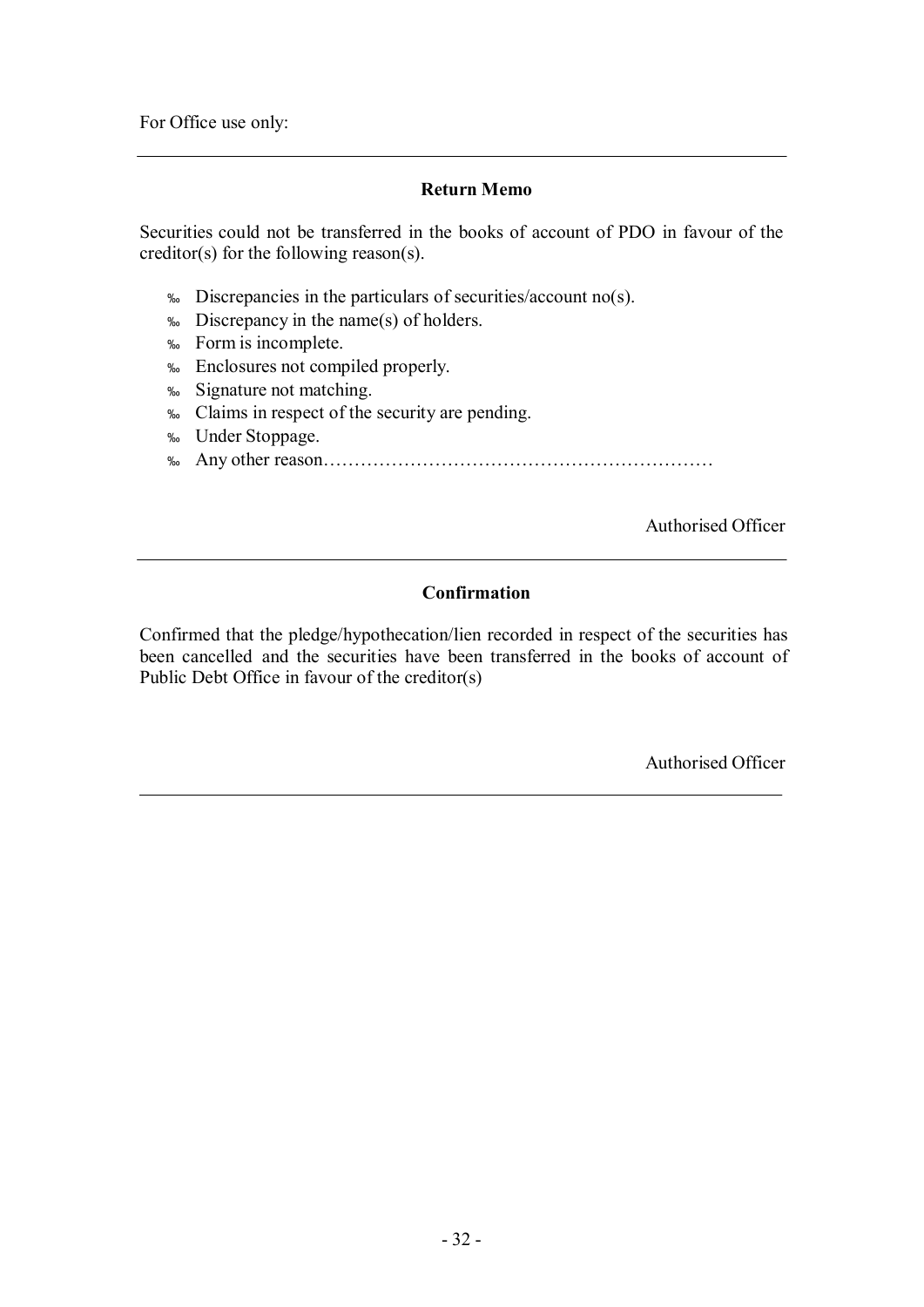For Office use only:

## **Return Memo**

Securities could not be transferred in the books of account of PDO in favour of the creditor(s) for the following reason(s).

- ‰ Discrepancies in the particulars of securities/account no(s).
- ‰ Discrepancy in the name(s) of holders.
- ‰ Form is incomplete.
- ‰ Enclosures not compiled properly.
- ‰ Signature not matching.
- ‰ Claims in respect of the security are pending.
- ‰ Under Stoppage.
- ‰ Any other reason………………………………………………………

Authorised Officer

### **Confirmation**

Confirmed that the pledge/hypothecation/lien recorded in respect of the securities has been cancelled and the securities have been transferred in the books of account of Public Debt Office in favour of the creditor(s)

Authorised Officer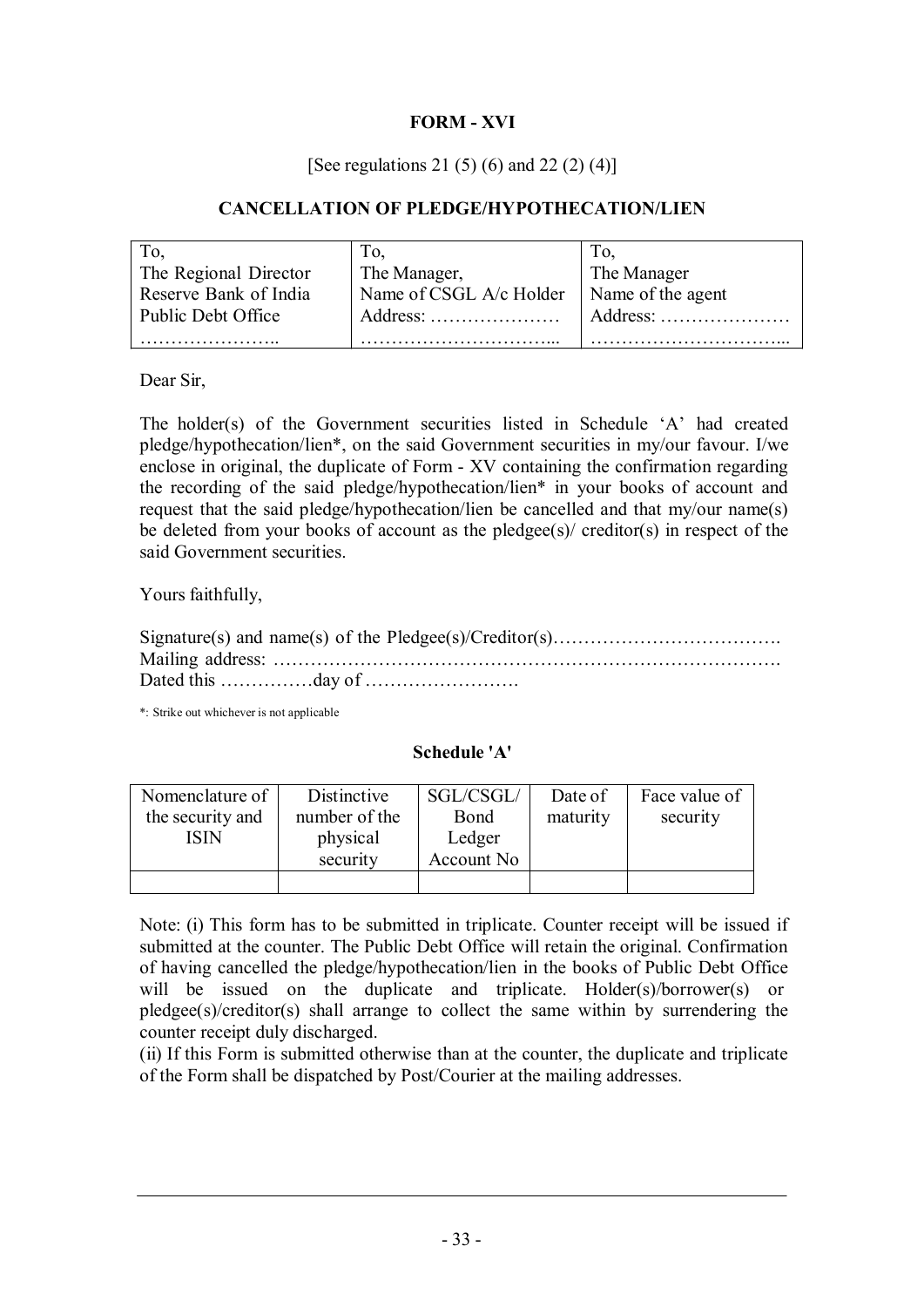# **FORM - XVI**

## [See regulations 21 (5) (6) and 22 (2) (4)]

## **CANCELLATION OF PLEDGE/HYPOTHECATION/LIEN**

|                       | $\Gamma$ o.                                    |                   |
|-----------------------|------------------------------------------------|-------------------|
| The Regional Director | The Manager,                                   | The Manager       |
| Reserve Bank of India | Name of CSGL A/c Holder                        | Name of the agent |
| Public Debt Office    | Address: $\dots \dots \dots \dots \dots \dots$ | Address: $\dots$  |
|                       |                                                |                   |

Dear Sir,

The holder(s) of the Government securities listed in Schedule 'A' had created pledge/hypothecation/lien\*, on the said Government securities in my/our favour. I/we enclose in original, the duplicate of Form - XV containing the confirmation regarding the recording of the said pledge/hypothecation/lien\* in your books of account and request that the said pledge/hypothecation/lien be cancelled and that my/our name(s) be deleted from your books of account as the pledgee(s)/ creditor(s) in respect of the said Government securities.

Yours faithfully,

\*: Strike out whichever is not applicable

#### **Schedule 'A'**

| Nomenclature of  | Distinctive   | SGL/CSGL/  | Date of  | Face value of |
|------------------|---------------|------------|----------|---------------|
| the security and | number of the | Bond       | maturity | security      |
| ISIN             | physical      | Ledger     |          |               |
|                  | security      | Account No |          |               |
|                  |               |            |          |               |

Note: (i) This form has to be submitted in triplicate. Counter receipt will be issued if submitted at the counter. The Public Debt Office will retain the original. Confirmation of having cancelled the pledge/hypothecation/lien in the books of Public Debt Office will be issued on the duplicate and triplicate. Holder(s)/borrower(s) or pledgee(s)/creditor(s) shall arrange to collect the same within by surrendering the counter receipt duly discharged.

(ii) If this Form is submitted otherwise than at the counter, the duplicate and triplicate of the Form shall be dispatched by Post/Courier at the mailing addresses.